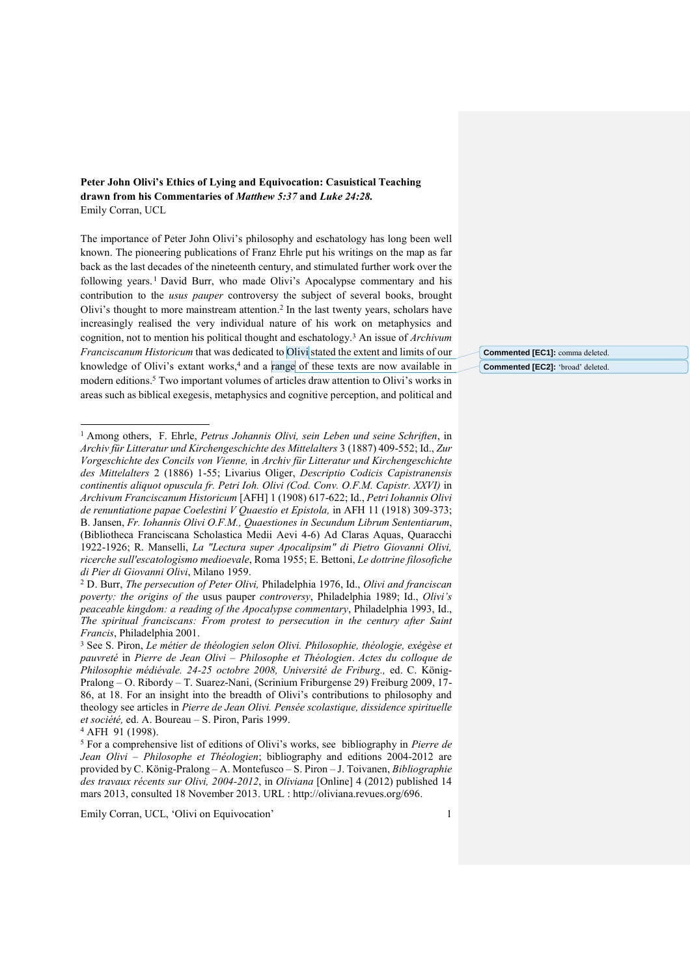**Peter John Olivi's Ethics of Lying and Equivocation: Casuistical Teaching drawn from his Commentaries of** *Matthew 5:37* **and** *Luke 24:28.* Emily Corran, UCL

The importance of Peter John Olivi's philosophy and eschatology has long been well known. The pioneering publications of Franz Ehrle put his writings on the map as far back as the last decades of the nineteenth century, and stimulated further work over the following years. <sup>1</sup> David Burr, who made Olivi's Apocalypse commentary and his contribution to the *usus pauper* controversy the subject of several books, brought Olivi's thought to more mainstream attention.<sup>2</sup> In the last twenty years, scholars have increasingly realised the very individual nature of his work on metaphysics and cognition, not to mention his political thought and eschatology. <sup>3</sup> An issue of *Archivum Franciscanum Historicum* that was dedicated to Olivi stated the extent and limits of our knowledge of Olivi's extant works,<sup>4</sup> and a range of these texts are now available in modern editions. <sup>5</sup> Two important volumes of articles draw attention to Olivi's works in areas such as biblical exegesis, metaphysics and cognitive perception, and political and

 $\overline{\phantom{0}}$ 

Emily Corran, UCL, 'Olivi on Equivocation' 1

**Commented [EC1]:** comma deleted. **Commented [EC2]:** 'broad' deleted.

<sup>1</sup> Among others, F. Ehrle, *Petrus Johannis Olivi, sein Leben und seine Schriften*, in *Archiv für Litteratur und Kirchengeschichte des Mittelalters* 3 (1887) 409-552; Id., *Zur Vorgeschichte des Concils von Vienne,* in *Archiv für Litteratur und Kirchengeschichte des Mittelalters* 2 (1886) 1-55; Livarius Oliger, *Descriptio Codicis Capistranensis continentis aliquot opuscula fr. Petri Ioh. Olivi (Cod. Conv. O.F.M. Capistr. XXVI)* in *Archivum Franciscanum Historicum* [AFH] 1 (1908) 617-622; Id., *Petri Iohannis Olivi de renuntiatione papae Coelestini V Quaestio et Epistola,* in AFH 11 (1918) 309-373; B. Jansen, *Fr. Iohannis Olivi O.F.M., Quaestiones in Secundum Librum Sententiarum*, (Bibliotheca Franciscana Scholastica Medii Aevi 4-6) Ad Claras Aquas, Quaracchi 1922-1926; R. Manselli, *La "Lectura super Apocalipsim" di Pietro Giovanni Olivi, ricerche sull'escatologismo medioevale*, Roma 1955; E. Bettoni, *Le dottrine filosofiche di Pier di Giovanni Olivi*, Milano 1959.

<sup>2</sup> D. Burr, *The persecution of Peter Olivi,* Philadelphia 1976, Id., *Olivi and franciscan poverty: the origins of the* usus pauper *controversy*, Philadelphia 1989; Id., *Olivi's peaceable kingdom: a reading of the Apocalypse commentary*, Philadelphia 1993, Id., *The spiritual franciscans: From protest to persecution in the century after Saint Francis*, Philadelphia 2001.

<sup>3</sup> See S. Piron, *Le métier de théologien selon Olivi. Philosophie, théologie, exégèse et pauvreté* in *Pierre de Jean Olivi – Philosophe et Théologien*. *Actes du colloque de Philosophie médiévale. 24-25 octobre 2008, Université de Friburg.,* ed. C. König-Pralong – O. Ribordy – T. Suarez-Nani, (Scrinium Friburgense 29) Freiburg 2009, 17- 86, at 18. For an insight into the breadth of Olivi's contributions to philosophy and theology see articles in *Pierre de Jean Olivi. Pensée scolastique, dissidence spirituelle et société,* ed. A. Boureau – S. Piron, Paris 1999.

<sup>4</sup> AFH 91 (1998).

<sup>5</sup> For a comprehensive list of editions of Olivi's works, see bibliography in *Pierre de Jean Olivi – Philosophe et Théologien*; bibliography and editions 2004-2012 are provided by C. König-Pralong – A. Montefusco – S. Piron – J. Toivanen, *Bibliographie des travaux récents sur Olivi, 2004-2012*, in *Oliviana* [Online] 4 (2012) published 14 mars 2013, consulted 18 November 2013. URL : http://oliviana.revues.org/696.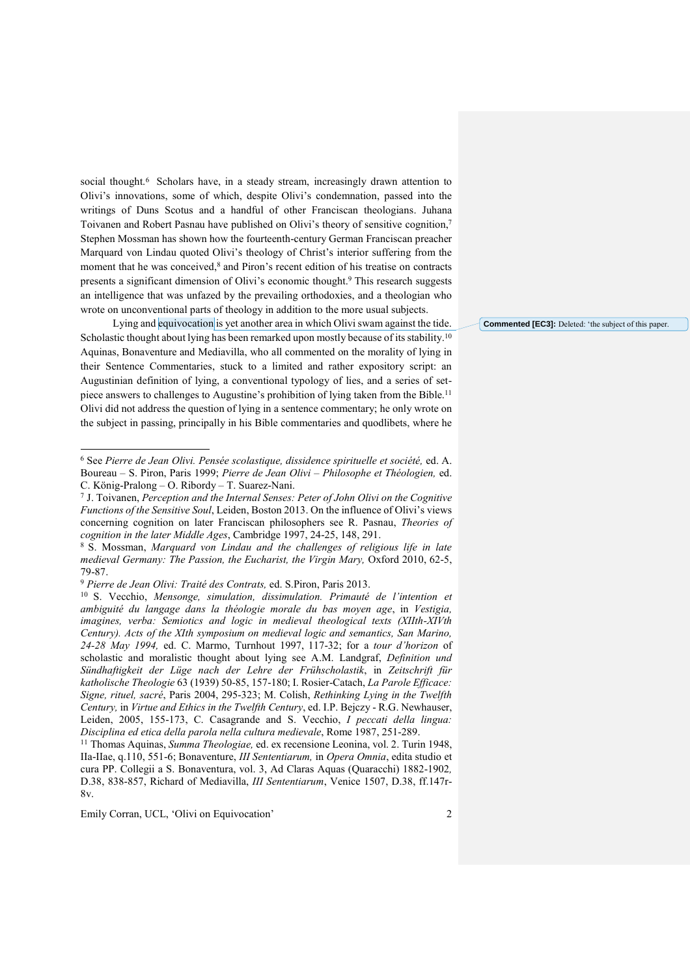social thought.<sup>6</sup> Scholars have, in a steady stream, increasingly drawn attention to Olivi's innovations, some of which, despite Olivi's condemnation, passed into the writings of Duns Scotus and a handful of other Franciscan theologians. Juhana Toivanen and Robert Pasnau have published on Olivi's theory of sensitive cognition,<sup>7</sup> Stephen Mossman has shown how the fourteenth-century German Franciscan preacher Marquard von Lindau quoted Olivi's theology of Christ's interior suffering from the moment that he was conceived, <sup>8</sup> and Piron's recent edition of his treatise on contracts presents a significant dimension of Olivi's economic thought. <sup>9</sup> This research suggests an intelligence that was unfazed by the prevailing orthodoxies, and a theologian who wrote on unconventional parts of theology in addition to the more usual subjects.

Lying and equivocation is yet another area in which Olivi swam against the tide. Scholastic thought about lying has been remarked upon mostly because of its stability.  $^{10}$ Aquinas, Bonaventure and Mediavilla, who all commented on the morality of lying in their Sentence Commentaries, stuck to a limited and rather expository script: an Augustinian definition of lying, a conventional typology of lies, and a series of setpiece answers to challenges to Augustine's prohibition of lying taken from the Bible.<sup>11</sup> Olivi did not address the question of lying in a sentence commentary; he only wrote on the subject in passing, principally in his Bible commentaries and quodlibets, where he

Emily Corran, UCL, 'Olivi on Equivocation' 2

j

**Commented [EC3]:** Deleted: 'the subject of this paper.

<sup>6</sup> See *Pierre de Jean Olivi. Pensée scolastique, dissidence spirituelle et société,* ed. A. Boureau – S. Piron, Paris 1999; *Pierre de Jean Olivi – Philosophe et Théologien,* ed. C. König-Pralong – O. Ribordy – T. Suarez-Nani.

<sup>7</sup> J. Toivanen, *Perception and the Internal Senses: Peter of John Olivi on the Cognitive Functions of the Sensitive Soul*, Leiden, Boston 2013. On the influence of Olivi's views concerning cognition on later Franciscan philosophers see R. Pasnau, *Theories of cognition in the later Middle Ages*, Cambridge 1997, 24-25, 148, 291.

<sup>8</sup> S. Mossman, *Marquard von Lindau and the challenges of religious life in late medieval Germany: The Passion, the Eucharist, the Virgin Mary, Oxford 2010, 62-5,* 79-87.

<sup>9</sup> *Pierre de Jean Olivi: Traité des Contrats,* ed. S.Piron, Paris 2013.

<sup>10</sup> S. Vecchio, *Mensonge, simulation, dissimulation. Primauté de l'intention et ambiguité du langage dans la théologie morale du bas moyen age*, in *Vestigia, imagines, verba: Semiotics and logic in medieval theological texts (XIIth-XIVth Century). Acts of the XIth symposium on medieval logic and semantics, San Marino, 24-28 May 1994,* ed. C. Marmo, Turnhout 1997, 117-32; for a *tour d'horizon* of scholastic and moralistic thought about lying see A.M. Landgraf, *Definition und Sündhaftigkeit der Lüge nach der Lehre der Frühscholastik*, in *Zeitschrift für katholische Theologie* 63 (1939) 50-85, 157-180; I. Rosier-Catach, *La Parole Efficace: Signe, rituel, sacré*, Paris 2004, 295-323; M. Colish, *Rethinking Lying in the Twelfth Century,* in *Virtue and Ethics in the Twelfth Century*, ed. I.P. Bejczy - R.G. Newhauser, Leiden, 2005, 155-173, C. Casagrande and S. Vecchio, *I peccati della lingua: Disciplina ed etica della parola nella cultura medievale*, Rome 1987, 251-289.

<sup>11</sup> Thomas Aquinas, *Summa Theologiae,* ed. ex recensione Leonina, vol. 2. Turin 1948, IIa-IIae, q.110, 551-6; Bonaventure, *III Sententiarum,* in *Opera Omnia*, edita studio et cura PP. Collegii a S. Bonaventura, vol. 3, Ad Claras Aquas (Quaracchi) 1882-1902*,*  D.38, 838-857, Richard of Mediavilla, *III Sententiarum*, Venice 1507, D.38, ff.147r-8v.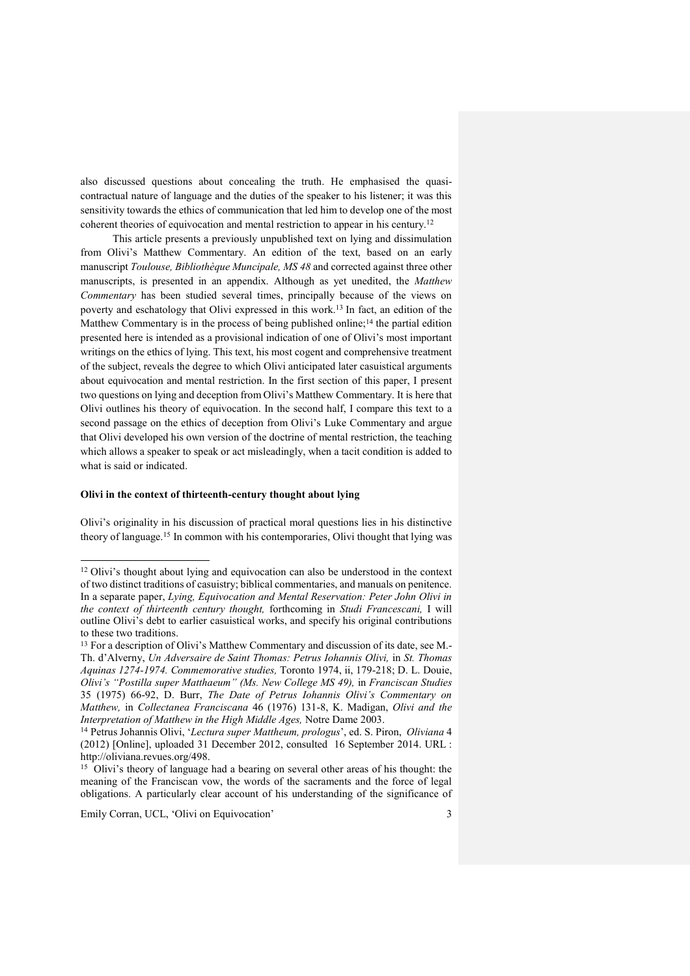also discussed questions about concealing the truth. He emphasised the quasicontractual nature of language and the duties of the speaker to his listener; it was this sensitivity towards the ethics of communication that led him to develop one of the most coherent theories of equivocation and mental restriction to appear in his century.<sup>12</sup>

This article presents a previously unpublished text on lying and dissimulation from Olivi's Matthew Commentary. An edition of the text, based on an early manuscript *Toulouse, Bibliothèque Muncipale, MS 48* and corrected against three other manuscripts, is presented in an appendix. Although as yet unedited, the *Matthew Commentary* has been studied several times, principally because of the views on poverty and eschatology that Olivi expressed in this work.<sup>13</sup> In fact, an edition of the Matthew Commentary is in the process of being published online;<sup>14</sup> the partial edition presented here is intended as a provisional indication of one of Olivi's most important writings on the ethics of lying. This text, his most cogent and comprehensive treatment of the subject, reveals the degree to which Olivi anticipated later casuistical arguments about equivocation and mental restriction. In the first section of this paper, I present two questions on lying and deception from Olivi's Matthew Commentary. It is here that Olivi outlines his theory of equivocation. In the second half, I compare this text to a second passage on the ethics of deception from Olivi's Luke Commentary and argue that Olivi developed his own version of the doctrine of mental restriction, the teaching which allows a speaker to speak or act misleadingly, when a tacit condition is added to what is said or indicated.

## **Olivi in the context of thirteenth-century thought about lying**

Olivi's originality in his discussion of practical moral questions lies in his distinctive theory of language.<sup>15</sup> In common with his contemporaries, Olivi thought that lying was

Emily Corran, UCL, 'Olivi on Equivocation' 3

 $\overline{a}$ 

<sup>&</sup>lt;sup>12</sup> Olivi's thought about lying and equivocation can also be understood in the context of two distinct traditions of casuistry; biblical commentaries, and manuals on penitence. In a separate paper, *Lying, Equivocation and Mental Reservation: Peter John Olivi in the context of thirteenth century thought,* forthcoming in *Studi Francescani,* I will outline Olivi's debt to earlier casuistical works, and specify his original contributions to these two traditions.

<sup>&</sup>lt;sup>13</sup> For a description of Olivi's Matthew Commentary and discussion of its date, see M.-Th. d'Alverny, *Un Adversaire de Saint Thomas: Petrus Iohannis Olivi,* in *St. Thomas Aquinas 1274-1974. Commemorative studies,* Toronto 1974, ii, 179-218; D. L. Douie, *Olivi's "Postilla super Matthaeum" (Ms. New College MS 49),* in *Franciscan Studies* 35 (1975) 66-92, D. Burr, *The Date of Petrus Iohannis Olivi's Commentary on Matthew,* in *Collectanea Franciscana* 46 (1976) 131-8, K. Madigan, *Olivi and the Interpretation of Matthew in the High Middle Ages,* Notre Dame 2003.

<sup>14</sup> Petrus Johannis Olivi, '*Lectura super Mattheum, prologus*', ed. S. Piron, *Oliviana* 4 (2012) [Online], uploaded 31 December 2012, consulted 16 September 2014. URL : http://oliviana.revues.org/498.

<sup>&</sup>lt;sup>15</sup> Olivi's theory of language had a bearing on several other areas of his thought: the meaning of the Franciscan vow, the words of the sacraments and the force of legal obligations. A particularly clear account of his understanding of the significance of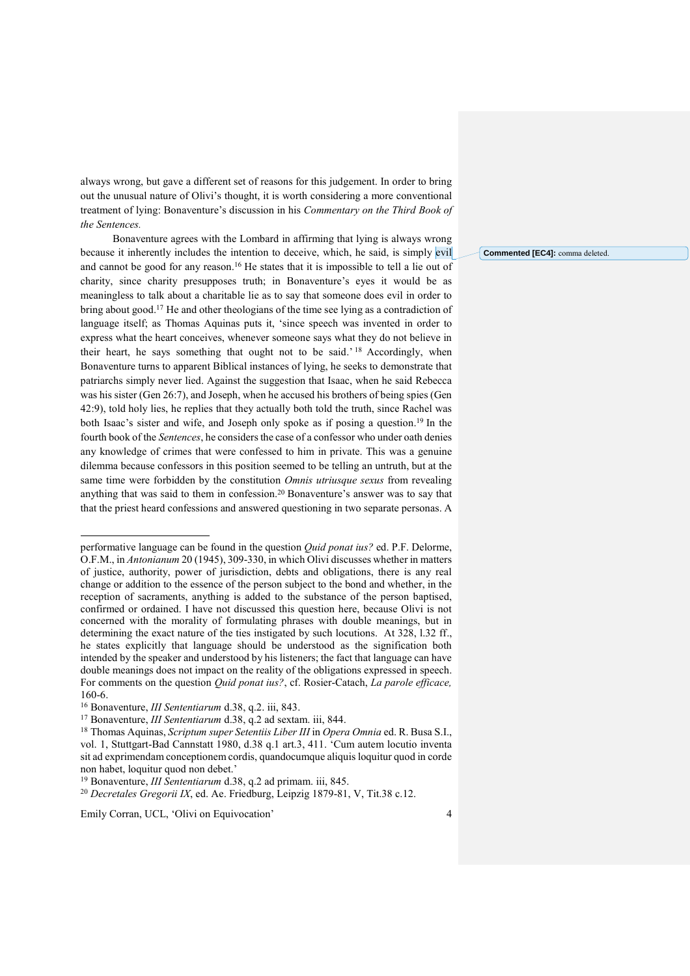always wrong, but gave a different set of reasons for this judgement. In order to bring out the unusual nature of Olivi's thought, it is worth considering a more conventional treatment of lying: Bonaventure's discussion in his *Commentary on the Third Book of the Sentences.*

Bonaventure agrees with the Lombard in affirming that lying is always wrong because it inherently includes the intention to deceive, which, he said, is simply evil and cannot be good for any reason.<sup>16</sup> He states that it is impossible to tell a lie out of charity, since charity presupposes truth; in Bonaventure's eyes it would be as meaningless to talk about a charitable lie as to say that someone does evil in order to bring about good.<sup>17</sup> He and other theologians of the time see lying as a contradiction of language itself; as Thomas Aquinas puts it, 'since speech was invented in order to express what the heart conceives, whenever someone says what they do not believe in their heart, he says something that ought not to be said.'<sup>18</sup> Accordingly, when Bonaventure turns to apparent Biblical instances of lying, he seeks to demonstrate that patriarchs simply never lied. Against the suggestion that Isaac, when he said Rebecca was his sister (Gen 26:7), and Joseph, when he accused his brothers of being spies (Gen 42:9), told holy lies, he replies that they actually both told the truth, since Rachel was both Isaac's sister and wife, and Joseph only spoke as if posing a question. <sup>19</sup> In the fourth book of the *Sentences*, he considers the case of a confessor who under oath denies any knowledge of crimes that were confessed to him in private. This was a genuine dilemma because confessors in this position seemed to be telling an untruth, but at the same time were forbidden by the constitution *Omnis utriusque sexus* from revealing anything that was said to them in confession.<sup>20</sup> Bonaventure's answer was to say that that the priest heard confessions and answered questioning in two separate personas. A

 $\overline{a}$ 

Emily Corran, UCL, 'Olivi on Equivocation' 4

**Commented [EC4]:** comma deleted.

performative language can be found in the question *Quid ponat ius?* ed. P.F. Delorme, O.F.M., in *Antonianum* 20 (1945), 309-330, in which Olivi discusses whether in matters of justice, authority, power of jurisdiction, debts and obligations, there is any real change or addition to the essence of the person subject to the bond and whether, in the reception of sacraments, anything is added to the substance of the person baptised, confirmed or ordained. I have not discussed this question here, because Olivi is not concerned with the morality of formulating phrases with double meanings, but in determining the exact nature of the ties instigated by such locutions. At 328, l.32 ff., he states explicitly that language should be understood as the signification both intended by the speaker and understood by his listeners; the fact that language can have double meanings does not impact on the reality of the obligations expressed in speech. For comments on the question *Quid ponat ius?*, cf. Rosier-Catach, *La parole efficace,*  160-6.

<sup>16</sup> Bonaventure, *III Sententiarum* d.38, q.2. iii, 843.

<sup>17</sup> Bonaventure, *III Sententiarum* d.38, q.2 ad sextam. iii, 844.

<sup>18</sup> Thomas Aquinas, *Scriptum super Setentiis Liber III* in *Opera Omnia* ed. R. Busa S.I., vol. 1, Stuttgart-Bad Cannstatt 1980, d.38 q.1 art.3, 411. 'Cum autem locutio inventa sit ad exprimendam conceptionem cordis, quandocumque aliquis loquitur quod in corde non habet, loquitur quod non debet.'

<sup>19</sup> Bonaventure, *III Sententiarum* d.38, q.2 ad primam. iii, 845.

<sup>20</sup> *Decretales Gregorii IX*, ed. Ae. Friedburg, Leipzig 1879-81, V, Tit.38 c.12.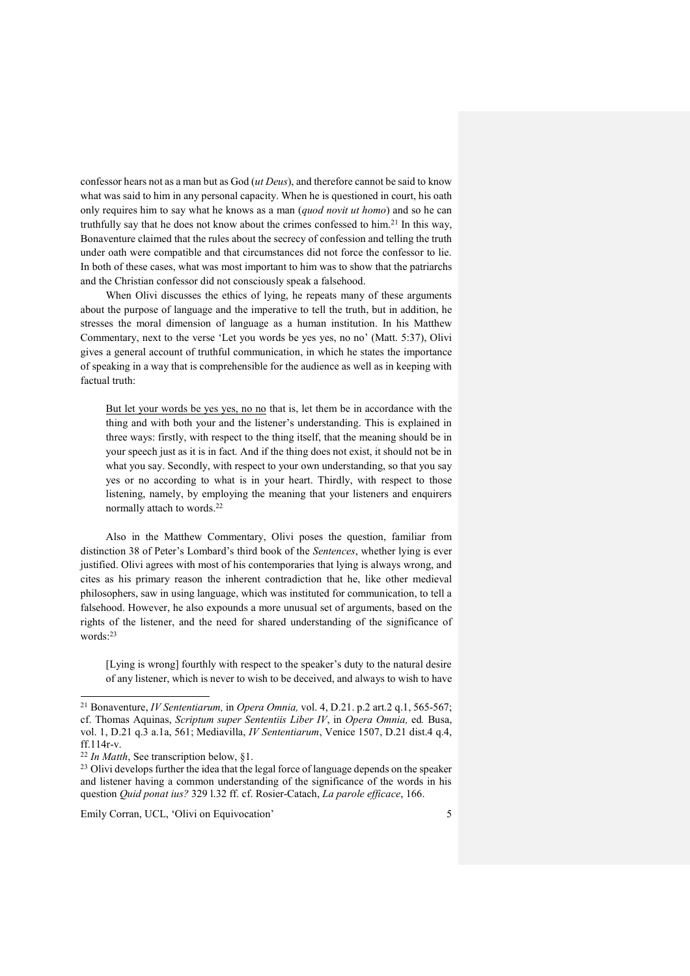confessor hears not as a man but as God (*ut Deus*), and therefore cannot be said to know what was said to him in any personal capacity. When he is questioned in court, his oath only requires him to say what he knows as a man (*quod novit ut homo*) and so he can truthfully say that he does not know about the crimes confessed to him.<sup>21</sup> In this way, Bonaventure claimed that the rules about the secrecy of confession and telling the truth under oath were compatible and that circumstances did not force the confessor to lie. In both of these cases, what was most important to him was to show that the patriarchs and the Christian confessor did not consciously speak a falsehood.

When Olivi discusses the ethics of lying, he repeats many of these arguments about the purpose of language and the imperative to tell the truth, but in addition, he stresses the moral dimension of language as a human institution. In his Matthew Commentary, next to the verse 'Let you words be yes yes, no no' (Matt. 5:37), Olivi gives a general account of truthful communication, in which he states the importance of speaking in a way that is comprehensible for the audience as well as in keeping with factual truth:

But let your words be yes yes, no no that is, let them be in accordance with the thing and with both your and the listener's understanding. This is explained in three ways: firstly, with respect to the thing itself, that the meaning should be in your speech just as it is in fact. And if the thing does not exist, it should not be in what you say. Secondly, with respect to your own understanding, so that you say yes or no according to what is in your heart. Thirdly, with respect to those listening, namely, by employing the meaning that your listeners and enquirers normally attach to words.<sup>22</sup>

Also in the Matthew Commentary, Olivi poses the question, familiar from distinction 38 of Peter's Lombard's third book of the *Sentences*, whether lying is ever justified. Olivi agrees with most of his contemporaries that lying is always wrong, and cites as his primary reason the inherent contradiction that he, like other medieval philosophers, saw in using language, which was instituted for communication, to tell a falsehood. However, he also expounds a more unusual set of arguments, based on the rights of the listener, and the need for shared understanding of the significance of words: 23

[Lying is wrong] fourthly with respect to the speaker's duty to the natural desire of any listener, which is never to wish to be deceived, and always to wish to have

 $\overline{a}$ 

<sup>21</sup> Bonaventure, *IV Sententiarum,* in *Opera Omnia,* vol. 4, D.21. p.2 art.2 q.1, 565-567; cf. Thomas Aquinas, *Scriptum super Sententiis Liber IV*, in *Opera Omnia,* ed*.* Busa, vol. 1, D.21 q.3 a.1a, 561; Mediavilla, *IV Sententiarum*, Venice 1507, D.21 dist.4 q.4, ff.114r-v.

<sup>22</sup> *In Matth*, See transcription below, §1.

<sup>&</sup>lt;sup>23</sup> Olivi develops further the idea that the legal force of language depends on the speaker and listener having a common understanding of the significance of the words in his question *Quid ponat ius?* 329 l.32 ff. cf. Rosier-Catach, *La parole efficace*, 166.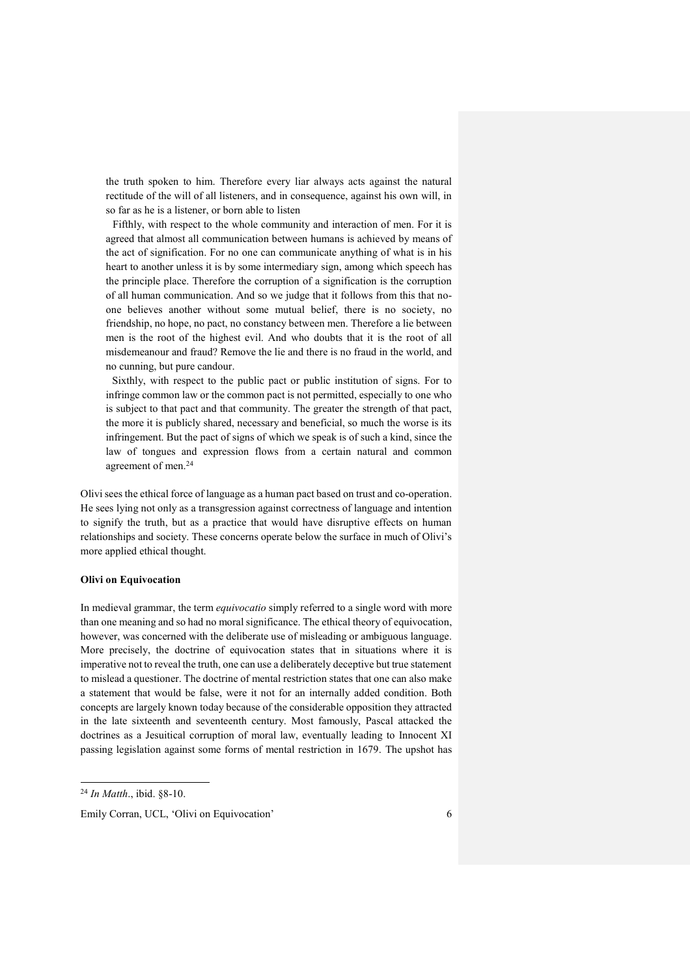the truth spoken to him. Therefore every liar always acts against the natural rectitude of the will of all listeners, and in consequence, against his own will, in so far as he is a listener, or born able to listen

Fifthly, with respect to the whole community and interaction of men. For it is agreed that almost all communication between humans is achieved by means of the act of signification. For no one can communicate anything of what is in his heart to another unless it is by some intermediary sign, among which speech has the principle place. Therefore the corruption of a signification is the corruption of all human communication. And so we judge that it follows from this that noone believes another without some mutual belief, there is no society, no friendship, no hope, no pact, no constancy between men. Therefore a lie between men is the root of the highest evil. And who doubts that it is the root of all misdemeanour and fraud? Remove the lie and there is no fraud in the world, and no cunning, but pure candour.

Sixthly, with respect to the public pact or public institution of signs. For to infringe common law or the common pact is not permitted, especially to one who is subject to that pact and that community. The greater the strength of that pact, the more it is publicly shared, necessary and beneficial, so much the worse is its infringement. But the pact of signs of which we speak is of such a kind, since the law of tongues and expression flows from a certain natural and common agreement of men.<sup>24</sup>

Olivi sees the ethical force of language as a human pact based on trust and co-operation. He sees lying not only as a transgression against correctness of language and intention to signify the truth, but as a practice that would have disruptive effects on human relationships and society. These concerns operate below the surface in much of Olivi's more applied ethical thought.

## **Olivi on Equivocation**

In medieval grammar, the term *equivocatio* simply referred to a single word with more than one meaning and so had no moral significance. The ethical theory of equivocation, however, was concerned with the deliberate use of misleading or ambiguous language. More precisely, the doctrine of equivocation states that in situations where it is imperative not to reveal the truth, one can use a deliberately deceptive but true statement to mislead a questioner. The doctrine of mental restriction states that one can also make a statement that would be false, were it not for an internally added condition. Both concepts are largely known today because of the considerable opposition they attracted in the late sixteenth and seventeenth century. Most famously, Pascal attacked the doctrines as a Jesuitical corruption of moral law, eventually leading to Innocent XI passing legislation against some forms of mental restriction in 1679. The upshot has

 $\overline{a}$ 

<sup>24</sup> *In Matth*., ibid. §8-10.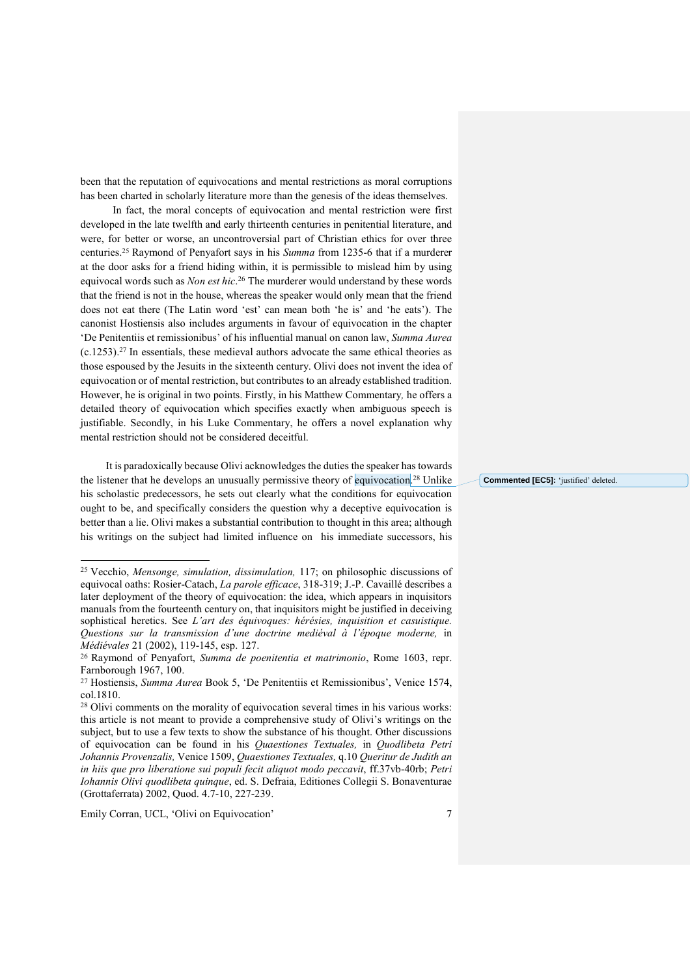been that the reputation of equivocations and mental restrictions as moral corruptions has been charted in scholarly literature more than the genesis of the ideas themselves.

In fact, the moral concepts of equivocation and mental restriction were first developed in the late twelfth and early thirteenth centuries in penitential literature, and were, for better or worse, an uncontroversial part of Christian ethics for over three centuries. <sup>25</sup> Raymond of Penyafort says in his *Summa* from 1235-6 that if a murderer at the door asks for a friend hiding within, it is permissible to mislead him by using equivocal words such as *Non est hic*. <sup>26</sup> The murderer would understand by these words that the friend is not in the house, whereas the speaker would only mean that the friend does not eat there (The Latin word 'est' can mean both 'he is' and 'he eats'). The canonist Hostiensis also includes arguments in favour of equivocation in the chapter 'De Penitentiis et remissionibus' of his influential manual on canon law, *Summa Aurea*  $(c.1253).<sup>27</sup>$  In essentials, these medieval authors advocate the same ethical theories as those espoused by the Jesuits in the sixteenth century. Olivi does not invent the idea of equivocation or of mental restriction, but contributes to an already established tradition. However, he is original in two points. Firstly, in his Matthew Commentary*,* he offers a detailed theory of equivocation which specifies exactly when ambiguous speech is justifiable. Secondly, in his Luke Commentary, he offers a novel explanation why mental restriction should not be considered deceitful.

It is paradoxically because Olivi acknowledges the duties the speaker has towards the listener that he develops an unusually permissive theory of equivocation.<sup>28</sup> Unlike his scholastic predecessors, he sets out clearly what the conditions for equivocation ought to be, and specifically considers the question why a deceptive equivocation is better than a lie. Olivi makes a substantial contribution to thought in this area; although his writings on the subject had limited influence on his immediate successors, his

Emily Corran, UCL, 'Olivi on Equivocation' 7

 $\overline{a}$ 

**Commented [EC5]:** 'justified' deleted.

<sup>25</sup> Vecchio, *Mensonge, simulation, dissimulation,* 117; on philosophic discussions of equivocal oaths: Rosier-Catach, *La parole efficace*, 318-319; J.-P. Cavaillé describes a later deployment of the theory of equivocation: the idea, which appears in inquisitors manuals from the fourteenth century on, that inquisitors might be justified in deceiving sophistical heretics. See *L'art des équivoques: hérésies, inquisition et casuistique. Questions sur la transmission d'une doctrine mediéval à l'époque moderne,* in *Médiévales* 21 (2002), 119-145, esp. 127.

<sup>26</sup> Raymond of Penyafort, *Summa de poenitentia et matrimonio*, Rome 1603, repr. Farnborough 1967, 100.

<sup>27</sup> Hostiensis, *Summa Aurea* Book 5, 'De Penitentiis et Remissionibus', Venice 1574, col.1810.

<sup>28</sup> Olivi comments on the morality of equivocation several times in his various works: this article is not meant to provide a comprehensive study of Olivi's writings on the subject, but to use a few texts to show the substance of his thought. Other discussions of equivocation can be found in his *Quaestiones Textuales,* in *Quodlibeta Petri Johannis Provenzalis,* Venice 1509, *Quaestiones Textuales,* q.10 *Queritur de Judith an in hiis que pro liberatione sui populi fecit aliquot modo peccavit*, ff.37vb-40rb; *Petri Iohannis Olivi quodlibeta quinque*, ed. S. Defraia, Editiones Collegii S. Bonaventurae (Grottaferrata) 2002, Quod. 4.7-10, 227-239.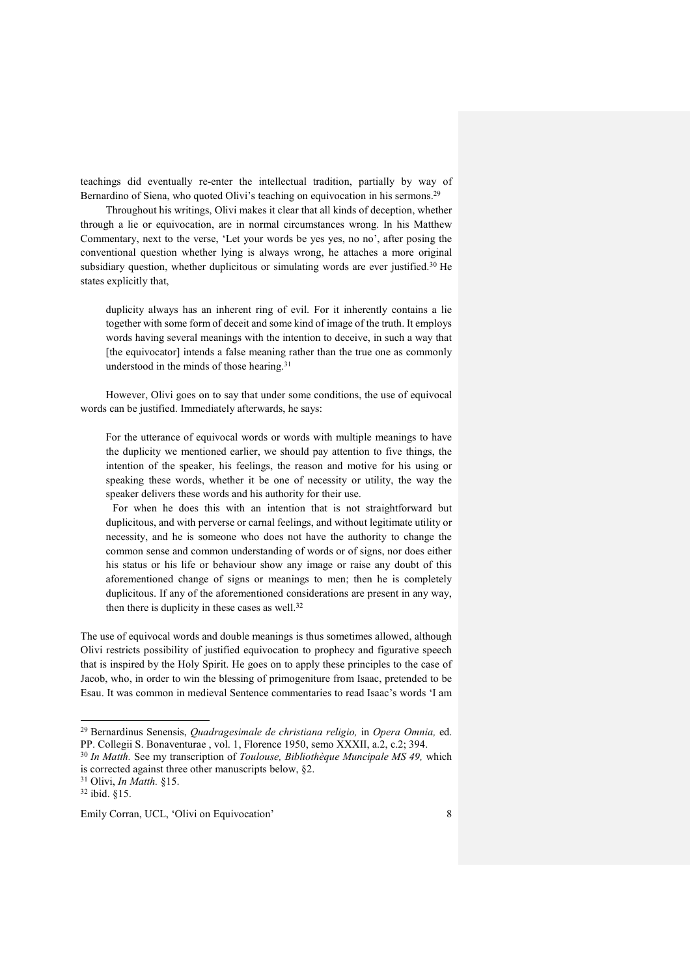teachings did eventually re-enter the intellectual tradition, partially by way of Bernardino of Siena, who quoted Olivi's teaching on equivocation in his sermons.<sup>29</sup>

Throughout his writings, Olivi makes it clear that all kinds of deception, whether through a lie or equivocation, are in normal circumstances wrong. In his Matthew Commentary, next to the verse, 'Let your words be yes yes, no no', after posing the conventional question whether lying is always wrong, he attaches a more original subsidiary question, whether duplicitous or simulating words are ever justified.<sup>30</sup> He states explicitly that,

duplicity always has an inherent ring of evil. For it inherently contains a lie together with some form of deceit and some kind of image of the truth. It employs words having several meanings with the intention to deceive, in such a way that [the equivocator] intends a false meaning rather than the true one as commonly understood in the minds of those hearing.<sup>31</sup>

However, Olivi goes on to say that under some conditions, the use of equivocal words can be justified. Immediately afterwards, he says:

For the utterance of equivocal words or words with multiple meanings to have the duplicity we mentioned earlier, we should pay attention to five things, the intention of the speaker, his feelings, the reason and motive for his using or speaking these words, whether it be one of necessity or utility, the way the speaker delivers these words and his authority for their use.

For when he does this with an intention that is not straightforward but duplicitous, and with perverse or carnal feelings, and without legitimate utility or necessity, and he is someone who does not have the authority to change the common sense and common understanding of words or of signs, nor does either his status or his life or behaviour show any image or raise any doubt of this aforementioned change of signs or meanings to men; then he is completely duplicitous. If any of the aforementioned considerations are present in any way, then there is duplicity in these cases as well. 32

The use of equivocal words and double meanings is thus sometimes allowed, although Olivi restricts possibility of justified equivocation to prophecy and figurative speech that is inspired by the Holy Spirit. He goes on to apply these principles to the case of Jacob, who, in order to win the blessing of primogeniture from Isaac, pretended to be Esau. It was common in medieval Sentence commentaries to read Isaac's words 'I am

 $\overline{a}$ 

<sup>29</sup> Bernardinus Senensis, *Quadragesimale de christiana religio,* in *Opera Omnia,* ed. PP. Collegii S. Bonaventurae , vol. 1, Florence 1950, semo XXXII, a.2, c.2; 394.

<sup>30</sup> *In Matth.* See my transcription of *Toulouse, Bibliothèque Muncipale MS 49,* which is corrected against three other manuscripts below, §2.

<sup>31</sup> Olivi, *In Matth.* §15.

<sup>32</sup> ibid. §15.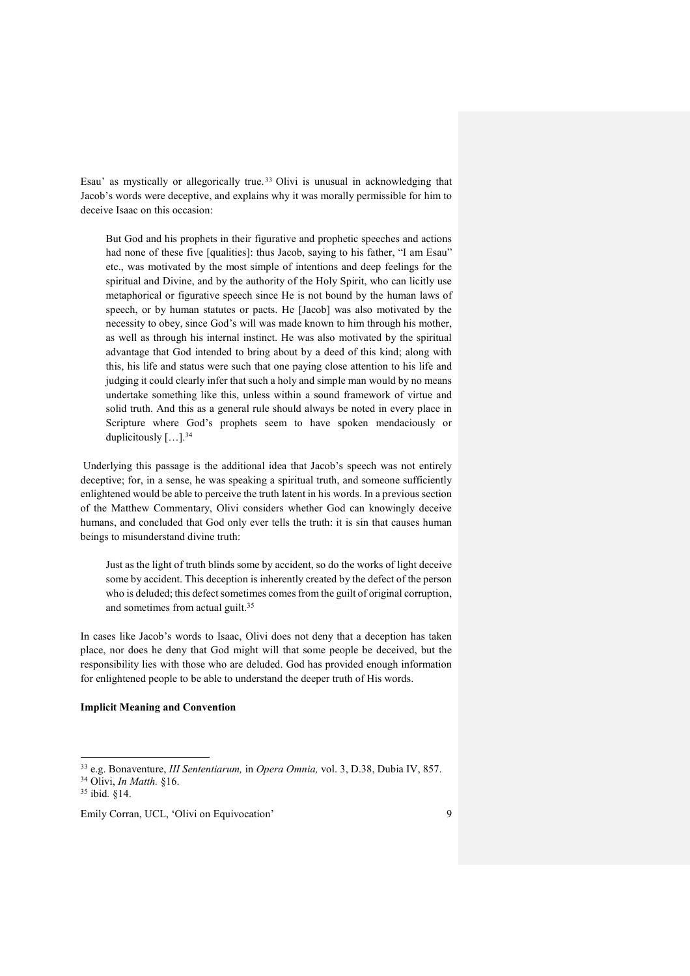Esau' as mystically or allegorically true. <sup>33</sup> Olivi is unusual in acknowledging that Jacob's words were deceptive, and explains why it was morally permissible for him to deceive Isaac on this occasion:

But God and his prophets in their figurative and prophetic speeches and actions had none of these five [qualities]: thus Jacob, saying to his father, "I am Esau" etc., was motivated by the most simple of intentions and deep feelings for the spiritual and Divine, and by the authority of the Holy Spirit, who can licitly use metaphorical or figurative speech since He is not bound by the human laws of speech, or by human statutes or pacts. He [Jacob] was also motivated by the necessity to obey, since God's will was made known to him through his mother, as well as through his internal instinct. He was also motivated by the spiritual advantage that God intended to bring about by a deed of this kind; along with this, his life and status were such that one paying close attention to his life and judging it could clearly infer that such a holy and simple man would by no means undertake something like this, unless within a sound framework of virtue and solid truth. And this as a general rule should always be noted in every place in Scripture where God's prophets seem to have spoken mendaciously or duplicitously […].<sup>34</sup>

Underlying this passage is the additional idea that Jacob's speech was not entirely deceptive; for, in a sense, he was speaking a spiritual truth, and someone sufficiently enlightened would be able to perceive the truth latent in his words. In a previous section of the Matthew Commentary, Olivi considers whether God can knowingly deceive humans, and concluded that God only ever tells the truth: it is sin that causes human beings to misunderstand divine truth:

Just as the light of truth blinds some by accident, so do the works of light deceive some by accident. This deception is inherently created by the defect of the person who is deluded; this defect sometimes comes from the guilt of original corruption, and sometimes from actual guilt.<sup>35</sup>

In cases like Jacob's words to Isaac, Olivi does not deny that a deception has taken place, nor does he deny that God might will that some people be deceived, but the responsibility lies with those who are deluded. God has provided enough information for enlightened people to be able to understand the deeper truth of His words.

# **Implicit Meaning and Convention**

 $\overline{a}$ 

<sup>33</sup> e.g. Bonaventure, *III Sententiarum,* in *Opera Omnia,* vol. 3, D.38, Dubia IV, 857. <sup>34</sup> Olivi, *In Matth.* §16.

<sup>35</sup> ibid*.* §14.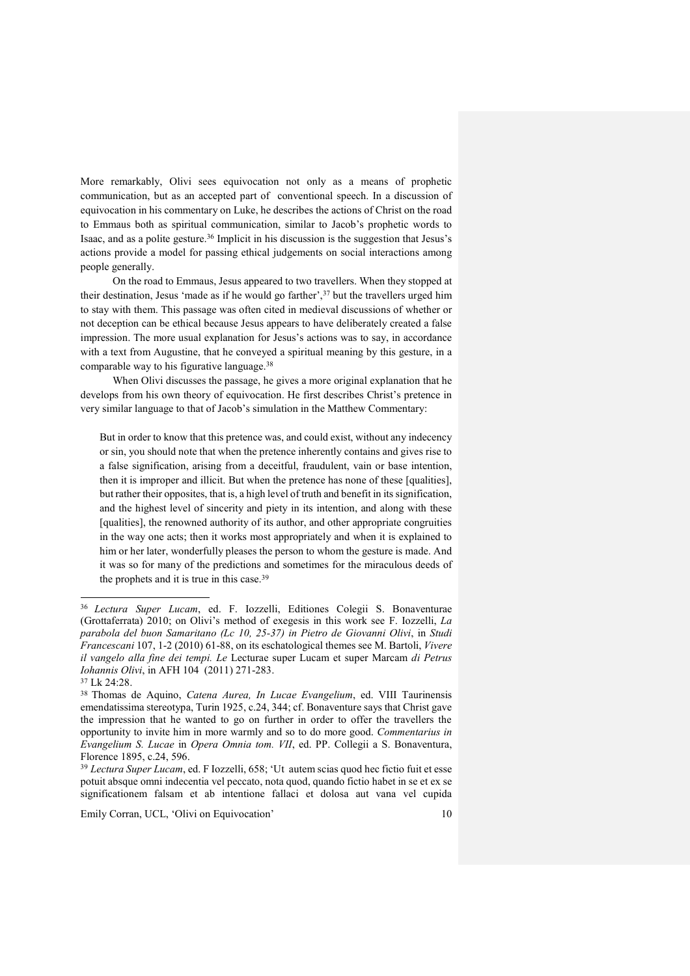More remarkably, Olivi sees equivocation not only as a means of prophetic communication, but as an accepted part of conventional speech. In a discussion of equivocation in his commentary on Luke, he describes the actions of Christ on the road to Emmaus both as spiritual communication, similar to Jacob's prophetic words to Isaac, and as a polite gesture.<sup>36</sup> Implicit in his discussion is the suggestion that Jesus's actions provide a model for passing ethical judgements on social interactions among people generally.

On the road to Emmaus, Jesus appeared to two travellers. When they stopped at their destination, Jesus 'made as if he would go farther',<sup>37</sup> but the travellers urged him to stay with them. This passage was often cited in medieval discussions of whether or not deception can be ethical because Jesus appears to have deliberately created a false impression. The more usual explanation for Jesus's actions was to say, in accordance with a text from Augustine, that he conveyed a spiritual meaning by this gesture, in a comparable way to his figurative language. 38

When Olivi discusses the passage, he gives a more original explanation that he develops from his own theory of equivocation. He first describes Christ's pretence in very similar language to that of Jacob's simulation in the Matthew Commentary:

But in order to know that this pretence was, and could exist, without any indecency or sin, you should note that when the pretence inherently contains and gives rise to a false signification, arising from a deceitful, fraudulent, vain or base intention, then it is improper and illicit. But when the pretence has none of these [qualities], but rather their opposites, that is, a high level of truth and benefit in its signification, and the highest level of sincerity and piety in its intention, and along with these [qualities], the renowned authority of its author, and other appropriate congruities in the way one acts; then it works most appropriately and when it is explained to him or her later, wonderfully pleases the person to whom the gesture is made. And it was so for many of the predictions and sometimes for the miraculous deeds of the prophets and it is true in this case.<sup>39</sup>

 $\overline{a}$ <sup>36</sup> *Lectura Super Lucam*, ed. F. Iozzelli, Editiones Colegii S. Bonaventurae (Grottaferrata) 2010; on Olivi's method of exegesis in this work see F. Iozzelli, *La parabola del buon Samaritano (Lc 10, 25-37) in Pietro de Giovanni Olivi*, in *Studi Francescani* 107, 1-2 (2010) 61-88, on its eschatological themes see M. Bartoli, *Vivere il vangelo alla fine dei tempi. Le* Lecturae super Lucam et super Marcam *di Petrus Iohannis Olivi*, in AFH 104 (2011) 271-283.

<sup>37</sup> Lk 24:28.

<sup>38</sup> Thomas de Aquino, *Catena Aurea, In Lucae Evangelium*, ed. VIII Taurinensis emendatissima stereotypa, Turin 1925, c.24, 344; cf. Bonaventure says that Christ gave the impression that he wanted to go on further in order to offer the travellers the opportunity to invite him in more warmly and so to do more good. *Commentarius in Evangelium S. Lucae* in *Opera Omnia tom. VII*, ed. PP. Collegii a S. Bonaventura, Florence 1895, c.24, 596.

<sup>39</sup> *Lectura Super Lucam*, ed. F Iozzelli, 658; 'Ut autem scias quod hec fictio fuit et esse potuit absque omni indecentia vel peccato, nota quod, quando fictio habet in se et ex se significationem falsam et ab intentione fallaci et dolosa aut vana vel cupida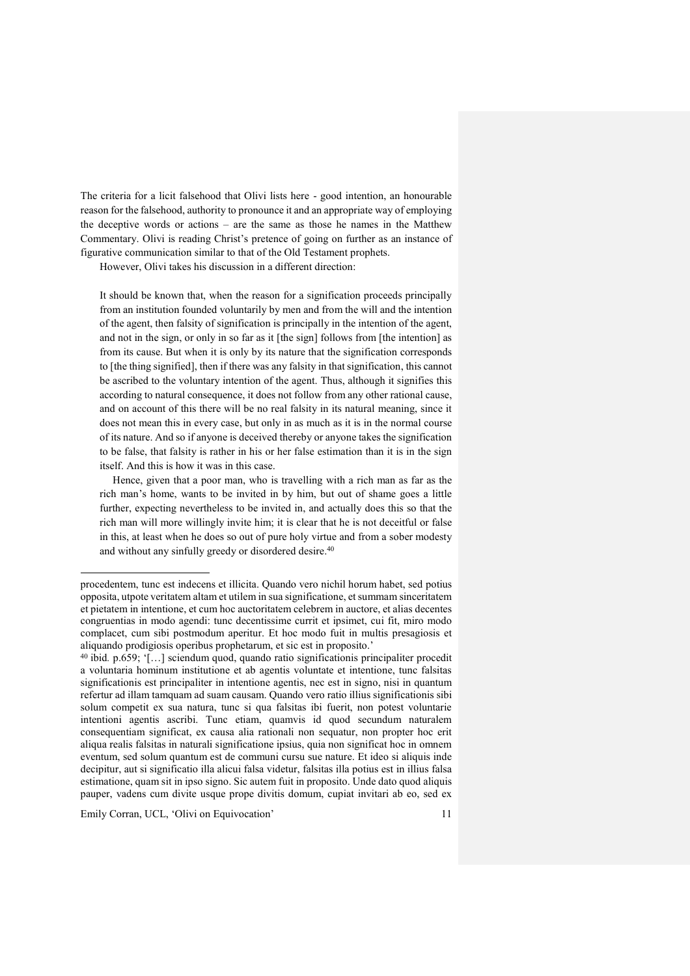The criteria for a licit falsehood that Olivi lists here - good intention, an honourable reason for the falsehood, authority to pronounce it and an appropriate way of employing the deceptive words or actions – are the same as those he names in the Matthew Commentary. Olivi is reading Christ's pretence of going on further as an instance of figurative communication similar to that of the Old Testament prophets.

However, Olivi takes his discussion in a different direction:

It should be known that, when the reason for a signification proceeds principally from an institution founded voluntarily by men and from the will and the intention of the agent, then falsity of signification is principally in the intention of the agent, and not in the sign, or only in so far as it [the sign] follows from [the intention] as from its cause. But when it is only by its nature that the signification corresponds to [the thing signified], then if there was any falsity in that signification, this cannot be ascribed to the voluntary intention of the agent. Thus, although it signifies this according to natural consequence, it does not follow from any other rational cause, and on account of this there will be no real falsity in its natural meaning, since it does not mean this in every case, but only in as much as it is in the normal course of its nature. And so if anyone is deceived thereby or anyone takes the signification to be false, that falsity is rather in his or her false estimation than it is in the sign itself. And this is how it was in this case.

Hence, given that a poor man, who is travelling with a rich man as far as the rich man's home, wants to be invited in by him, but out of shame goes a little further, expecting nevertheless to be invited in, and actually does this so that the rich man will more willingly invite him; it is clear that he is not deceitful or false in this, at least when he does so out of pure holy virtue and from a sober modesty and without any sinfully greedy or disordered desire. 40

Emily Corran, UCL, 'Olivi on Equivocation' 11

j

procedentem, tunc est indecens et illicita. Quando vero nichil horum habet, sed potius opposita, utpote veritatem altam et utilem in sua significatione, et summam sinceritatem et pietatem in intentione, et cum hoc auctoritatem celebrem in auctore, et alias decentes congruentias in modo agendi: tunc decentissime currit et ipsimet, cui fit, miro modo complacet, cum sibi postmodum aperitur. Et hoc modo fuit in multis presagiosis et aliquando prodigiosis operibus prophetarum, et sic est in proposito.'

<sup>40</sup> ibid*.* p.659; '[…] sciendum quod, quando ratio significationis principaliter procedit a voluntaria hominum institutione et ab agentis voluntate et intentione, tunc falsitas significationis est principaliter in intentione agentis, nec est in signo, nisi in quantum refertur ad illam tamquam ad suam causam. Quando vero ratio illius significationis sibi solum competit ex sua natura, tunc si qua falsitas ibi fuerit, non potest voluntarie intentioni agentis ascribi. Tunc etiam, quamvis id quod secundum naturalem consequentiam significat, ex causa alia rationali non sequatur, non propter hoc erit aliqua realis falsitas in naturali significatione ipsius, quia non significat hoc in omnem eventum, sed solum quantum est de communi cursu sue nature. Et ideo si aliquis inde decipitur, aut si significatio illa alicui falsa videtur, falsitas illa potius est in illius falsa estimatione, quam sit in ipso signo. Sic autem fuit in proposito. Unde dato quod aliquis pauper, vadens cum divite usque prope divitis domum, cupiat invitari ab eo, sed ex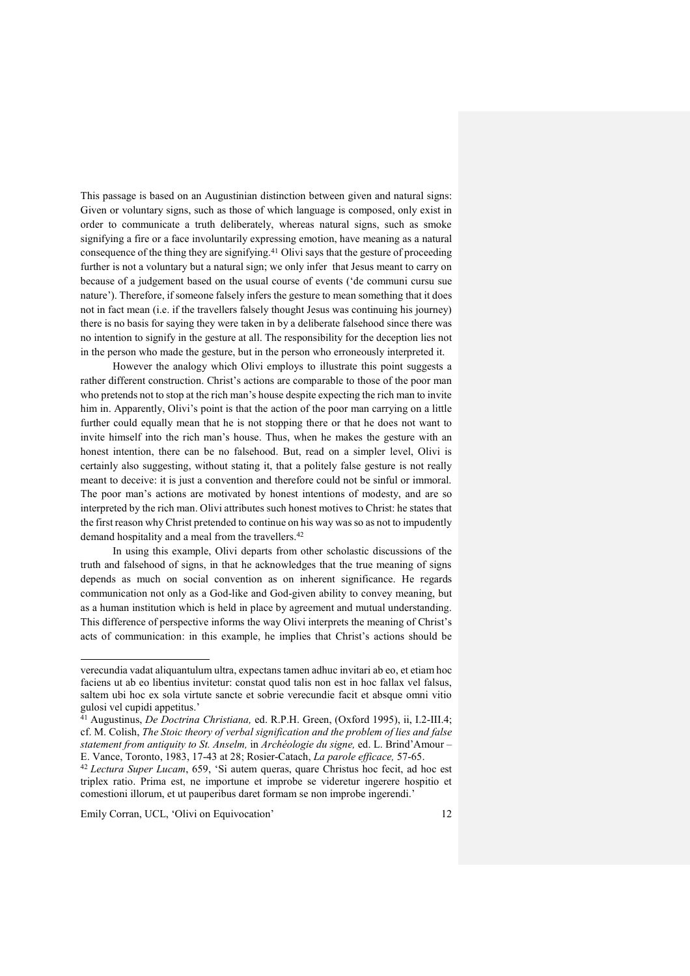This passage is based on an Augustinian distinction between given and natural signs: Given or voluntary signs, such as those of which language is composed, only exist in order to communicate a truth deliberately, whereas natural signs, such as smoke signifying a fire or a face involuntarily expressing emotion, have meaning as a natural consequence of the thing they are signifying.<sup>41</sup> Olivi says that the gesture of proceeding further is not a voluntary but a natural sign; we only infer that Jesus meant to carry on because of a judgement based on the usual course of events ('de communi cursu sue nature'). Therefore, if someone falsely infers the gesture to mean something that it does not in fact mean (i.e. if the travellers falsely thought Jesus was continuing his journey) there is no basis for saying they were taken in by a deliberate falsehood since there was no intention to signify in the gesture at all. The responsibility for the deception lies not in the person who made the gesture, but in the person who erroneously interpreted it.

However the analogy which Olivi employs to illustrate this point suggests a rather different construction. Christ's actions are comparable to those of the poor man who pretends not to stop at the rich man's house despite expecting the rich man to invite him in. Apparently, Olivi's point is that the action of the poor man carrying on a little further could equally mean that he is not stopping there or that he does not want to invite himself into the rich man's house. Thus, when he makes the gesture with an honest intention, there can be no falsehood. But, read on a simpler level, Olivi is certainly also suggesting, without stating it, that a politely false gesture is not really meant to deceive: it is just a convention and therefore could not be sinful or immoral. The poor man's actions are motivated by honest intentions of modesty, and are so interpreted by the rich man. Olivi attributes such honest motives to Christ: he states that the first reason why Christ pretended to continue on his way was so as not to impudently demand hospitality and a meal from the travellers.<sup>42</sup>

In using this example, Olivi departs from other scholastic discussions of the truth and falsehood of signs, in that he acknowledges that the true meaning of signs depends as much on social convention as on inherent significance. He regards communication not only as a God-like and God-given ability to convey meaning, but as a human institution which is held in place by agreement and mutual understanding. This difference of perspective informs the way Olivi interprets the meaning of Christ's acts of communication: in this example, he implies that Christ's actions should be

Emily Corran, UCL, 'Olivi on Equivocation' 12

 $\overline{a}$ 

verecundia vadat aliquantulum ultra, expectans tamen adhuc invitari ab eo, et etiam hoc faciens ut ab eo libentius invitetur: constat quod talis non est in hoc fallax vel falsus, saltem ubi hoc ex sola virtute sancte et sobrie verecundie facit et absque omni vitio gulosi vel cupidi appetitus.'

<sup>41</sup> Augustinus, *De Doctrina Christiana,* ed. R.P.H. Green, (Oxford 1995), ii, I.2-III.4; cf. M. Colish, *The Stoic theory of verbal signification and the problem of lies and false statement from antiquity to St. Anselm,* in *Archéologie du signe,* ed. L. Brind'Amour – E. Vance, Toronto, 1983, 17-43 at 28; Rosier-Catach, *La parole efficace,* 57-65.

<sup>42</sup> *Lectura Super Lucam*, 659, 'Si autem queras, quare Christus hoc fecit, ad hoc est triplex ratio. Prima est, ne importune et improbe se videretur ingerere hospitio et comestioni illorum, et ut pauperibus daret formam se non improbe ingerendi.'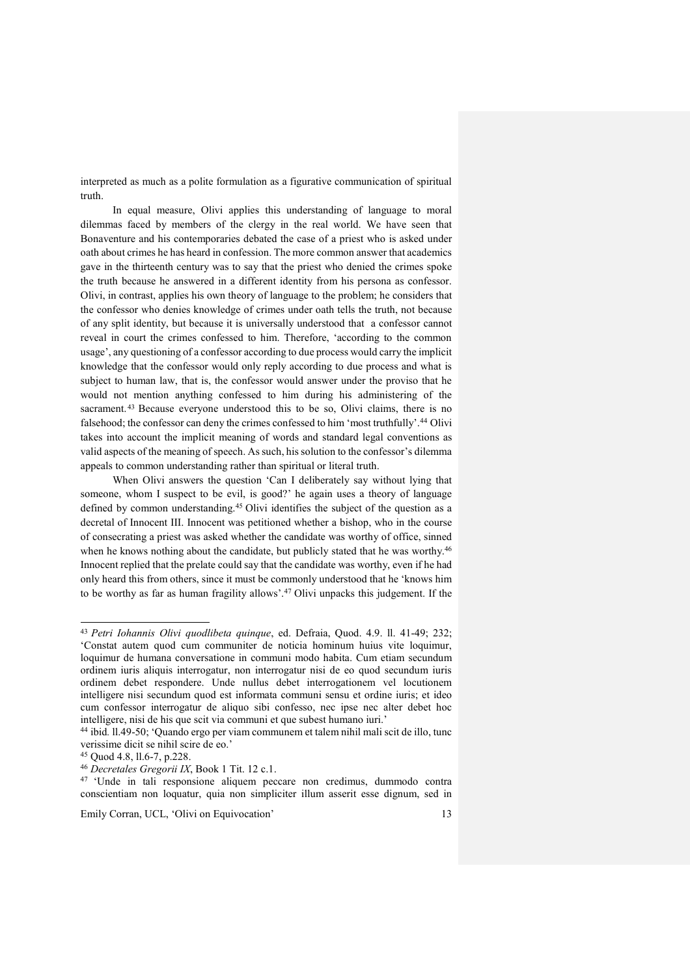interpreted as much as a polite formulation as a figurative communication of spiritual truth.

In equal measure, Olivi applies this understanding of language to moral dilemmas faced by members of the clergy in the real world. We have seen that Bonaventure and his contemporaries debated the case of a priest who is asked under oath about crimes he has heard in confession. The more common answer that academics gave in the thirteenth century was to say that the priest who denied the crimes spoke the truth because he answered in a different identity from his persona as confessor. Olivi, in contrast, applies his own theory of language to the problem; he considers that the confessor who denies knowledge of crimes under oath tells the truth, not because of any split identity, but because it is universally understood that a confessor cannot reveal in court the crimes confessed to him. Therefore, 'according to the common usage', any questioning of a confessor according to due process would carry the implicit knowledge that the confessor would only reply according to due process and what is subject to human law, that is, the confessor would answer under the proviso that he would not mention anything confessed to him during his administering of the sacrament.<sup>43</sup> Because everyone understood this to be so, Olivi claims, there is no falsehood; the confessor can deny the crimes confessed to him 'most truthfully'.<sup>44</sup> Olivi takes into account the implicit meaning of words and standard legal conventions as valid aspects of the meaning of speech. As such, his solution to the confessor's dilemma appeals to common understanding rather than spiritual or literal truth.

When Olivi answers the question 'Can I deliberately say without lying that someone, whom I suspect to be evil, is good?' he again uses a theory of language defined by common understanding.<sup>45</sup> Olivi identifies the subject of the question as a decretal of Innocent III. Innocent was petitioned whether a bishop, who in the course of consecrating a priest was asked whether the candidate was worthy of office, sinned when he knows nothing about the candidate, but publicly stated that he was worthy.<sup>46</sup> Innocent replied that the prelate could say that the candidate was worthy, even if he had only heard this from others, since it must be commonly understood that he 'knows him to be worthy as far as human fragility allows'.<sup>47</sup> Olivi unpacks this judgement. If the

 $\overline{a}$ 

<sup>47</sup> 'Unde in tali responsione aliquem peccare non credimus, dummodo contra conscientiam non loquatur, quia non simpliciter illum asserit esse dignum, sed in

<sup>43</sup> *Petri Iohannis Olivi quodlibeta quinque*, ed. Defraia, Quod. 4.9. ll. 41-49; 232; 'Constat autem quod cum communiter de noticia hominum huius vite loquimur, loquimur de humana conversatione in communi modo habita. Cum etiam secundum ordinem iuris aliquis interrogatur, non interrogatur nisi de eo quod secundum iuris ordinem debet respondere. Unde nullus debet interrogationem vel locutionem intelligere nisi secundum quod est informata communi sensu et ordine iuris; et ideo cum confessor interrogatur de aliquo sibi confesso, nec ipse nec alter debet hoc intelligere, nisi de his que scit via communi et que subest humano iuri.'

<sup>44</sup> ibid*.* ll.49-50; 'Quando ergo per viam communem et talem nihil mali scit de illo, tunc verissime dicit se nihil scire de eo.'

<sup>45</sup> Quod 4.8, ll.6-7, p.228.

<sup>46</sup> *Decretales Gregorii IX*, Book 1 Tit. 12 c.1.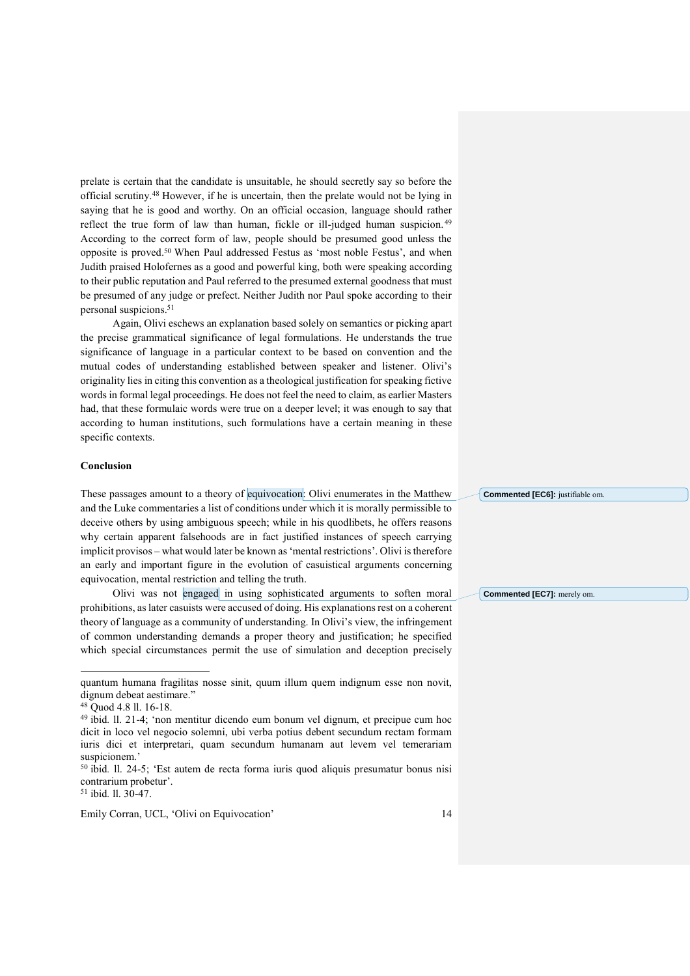prelate is certain that the candidate is unsuitable, he should secretly say so before the official scrutiny.<sup>48</sup> However, if he is uncertain, then the prelate would not be lying in saying that he is good and worthy. On an official occasion, language should rather reflect the true form of law than human, fickle or ill-judged human suspicion. <sup>49</sup> According to the correct form of law, people should be presumed good unless the opposite is proved.<sup>50</sup> When Paul addressed Festus as 'most noble Festus', and when Judith praised Holofernes as a good and powerful king, both were speaking according to their public reputation and Paul referred to the presumed external goodness that must be presumed of any judge or prefect. Neither Judith nor Paul spoke according to their personal suspicions.<sup>51</sup>

Again, Olivi eschews an explanation based solely on semantics or picking apart the precise grammatical significance of legal formulations. He understands the true significance of language in a particular context to be based on convention and the mutual codes of understanding established between speaker and listener. Olivi's originality lies in citing this convention as a theological justification for speaking fictive words in formal legal proceedings. He does not feel the need to claim, as earlier Masters had, that these formulaic words were true on a deeper level; it was enough to say that according to human institutions, such formulations have a certain meaning in these specific contexts.

### **Conclusion**

These passages amount to a theory of equivocation: Olivi enumerates in the Matthew and the Luke commentaries a list of conditions under which it is morally permissible to deceive others by using ambiguous speech; while in his quodlibets, he offers reasons why certain apparent falsehoods are in fact justified instances of speech carrying implicit provisos – what would later be known as 'mental restrictions'. Olivi is therefore an early and important figure in the evolution of casuistical arguments concerning equivocation, mental restriction and telling the truth.

Olivi was not engaged in using sophisticated arguments to soften moral prohibitions, as later casuists were accused of doing. His explanations rest on a coherent theory of language as a community of understanding. In Olivi's view, the infringement of common understanding demands a proper theory and justification; he specified which special circumstances permit the use of simulation and deception precisely

j

<sup>51</sup> ibid*.* ll. 30-47.

Emily Corran, UCL, 'Olivi on Equivocation' 14

**Commented [EC6]:** justifiable om.

**Commented [EC7]:** merely om.

quantum humana fragilitas nosse sinit, quum illum quem indignum esse non novit, dignum debeat aestimare."

<sup>48</sup> Quod 4.8 ll. 16-18.

<sup>49</sup> ibid*.* ll. 21-4; 'non mentitur dicendo eum bonum vel dignum, et precipue cum hoc dicit in loco vel negocio solemni, ubi verba potius debent secundum rectam formam iuris dici et interpretari, quam secundum humanam aut levem vel temerariam suspicionem.'

<sup>50</sup> ibid*.* ll. 24-5; 'Est autem de recta forma iuris quod aliquis presumatur bonus nisi contrarium probetur'.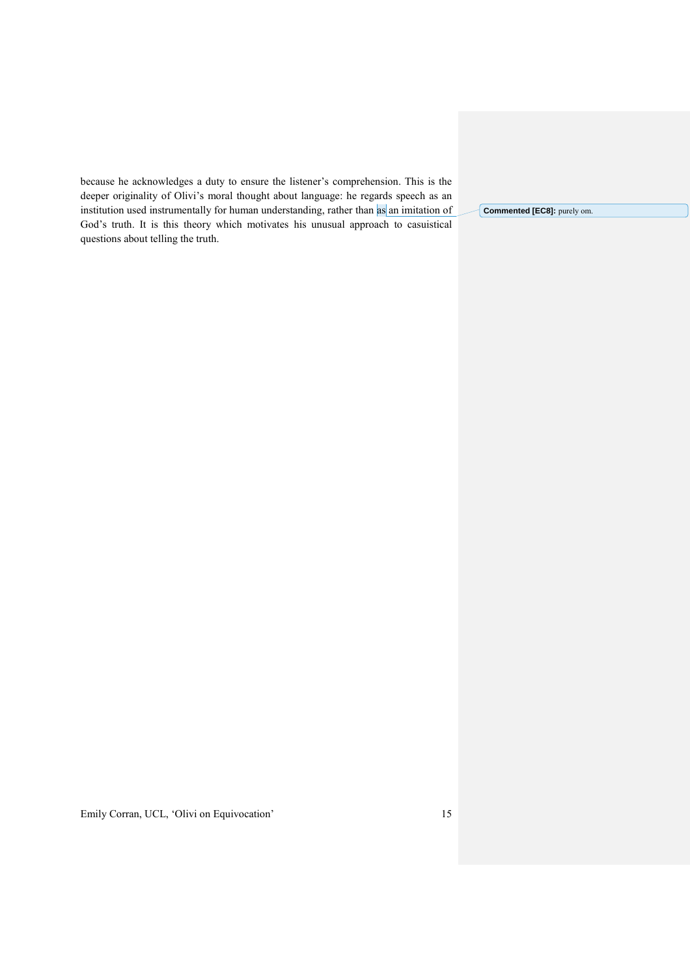because he acknowledges a duty to ensure the listener's comprehension. This is the deeper originality of Olivi's moral thought about language: he regards speech as an institution used instrumentally for human understanding, rather than as an imitation of God's truth. It is this theory which motivates his unusual approach to casuistical questions about telling the truth.

**Commented [EC8]:** purely om.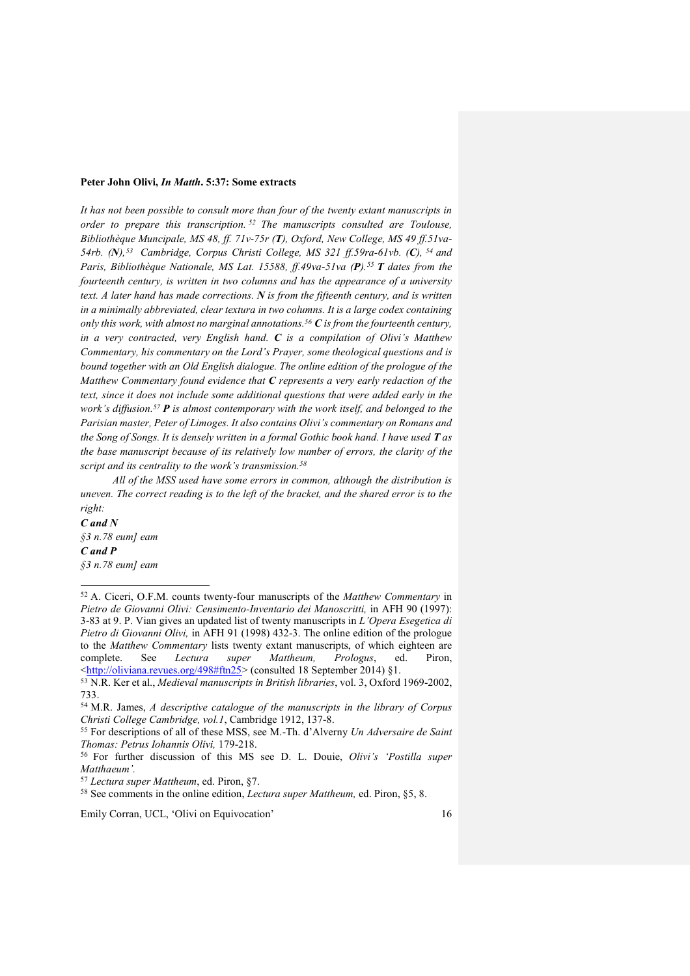#### **Peter John Olivi,** *In Matth***. 5:37: Some extracts**

*It has not been possible to consult more than four of the twenty extant manuscripts in order to prepare this transcription. <sup>52</sup> The manuscripts consulted are Toulouse, Bibliothèque Muncipale, MS 48, ff. 71v-75r (T), Oxford, New College, MS 49 ff.51va-54rb. (N), 53 Cambridge, Corpus Christi College, MS 321 ff.59ra-61vb. (C), <sup>54</sup> and Paris, Bibliothèque Nationale, MS Lat. 15588, ff.49va-51va (P).<sup>55</sup> T dates from the fourteenth century, is written in two columns and has the appearance of a university text. A later hand has made corrections. N is from the fifteenth century, and is written in a minimally abbreviated, clear textura in two columns. It is a large codex containing only this work, with almost no marginal annotations.<sup>56</sup> C is from the fourteenth century, in a very contracted, very English hand. C is a compilation of Olivi's Matthew Commentary, his commentary on the Lord's Prayer, some theological questions and is bound together with an Old English dialogue. The online edition of the prologue of the Matthew Commentary found evidence that C represents a very early redaction of the text, since it does not include some additional questions that were added early in the work's diffusion.<sup>57</sup> P is almost contemporary with the work itself, and belonged to the Parisian master, Peter of Limoges. It also contains Olivi's commentary on Romans and the Song of Songs. It is densely written in a formal Gothic book hand. I have used T as the base manuscript because of its relatively low number of errors, the clarity of the script and its centrality to the work's transmission.<sup>58</sup>*

*All of the MSS used have some errors in common, although the distribution is uneven. The correct reading is to the left of the bracket, and the shared error is to the right:*

*C and N §3 n.78 eum] eam C and P §3 n.78 eum] eam*

j

<sup>52</sup> A. Ciceri, O.F.M. counts twenty-four manuscripts of the *Matthew Commentary* in *Pietro de Giovanni Olivi: Censimento-Inventario dei Manoscritti,* in AFH 90 (1997): 3-83 at 9. P. Vian gives an updated list of twenty manuscripts in *L'Opera Esegetica di Pietro di Giovanni Olivi,* in AFH 91 (1998) 432-3. The online edition of the prologue to the *Matthew Commentary* lists twenty extant manuscripts, of which eighteen are complete. See *Lectura super Mattheum, Prologus*, ed. Piron, [<http://oliviana.revues.org/498#ftn25>](http://oliviana.revues.org/498#ftn25) (consulted 18 September 2014) §1.

<sup>53</sup> N.R. Ker et al., *Medieval manuscripts in British libraries*, vol. 3, Oxford 1969-2002, 733.

<sup>54</sup> M.R. James, *A descriptive catalogue of the manuscripts in the library of Corpus Christi College Cambridge, vol.1*, Cambridge 1912, 137-8.

<sup>55</sup> For descriptions of all of these MSS, see M.-Th. d'Alverny *Un Adversaire de Saint Thomas: Petrus Iohannis Olivi,* 179-218.

<sup>56</sup> For further discussion of this MS see D. L. Douie, *Olivi's 'Postilla super Matthaeum'.*

<sup>57</sup> *Lectura super Mattheum*, ed. Piron, §7.

<sup>58</sup> See comments in the online edition, *Lectura super Mattheum,* ed. Piron, §5, 8.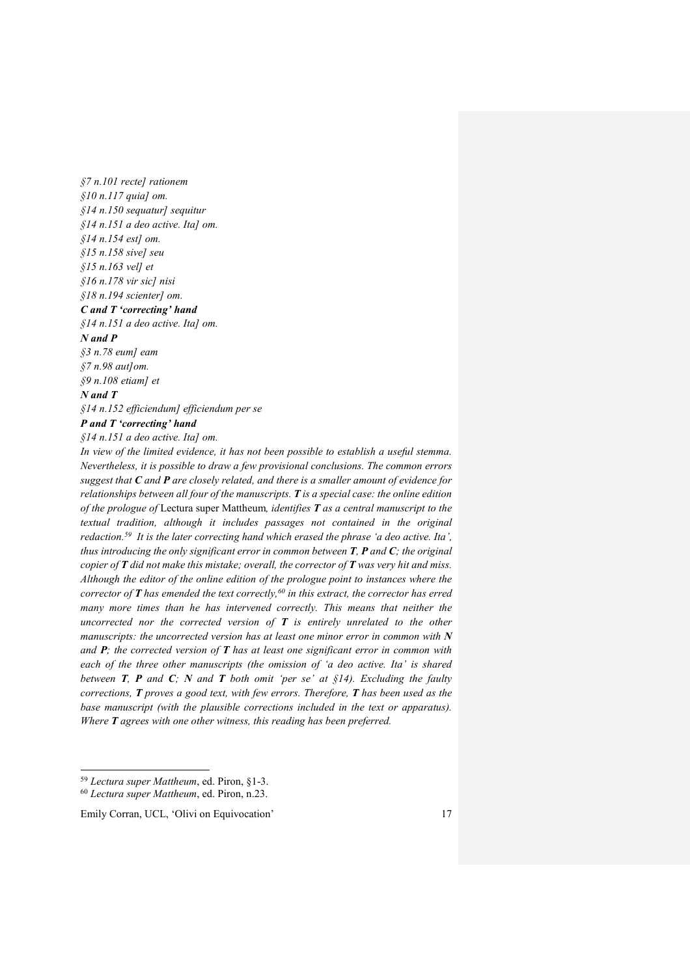*§7 n.101 recte] rationem §10 n.117 quia] om. §14 n.150 sequatur] sequitur §14 n.151 a deo active. Ita] om. §14 n.154 est] om. §15 n.158 sive] seu §15 n.163 vel] et §16 n.178 vir sic] nisi §18 n.194 scienter] om. C and T 'correcting' hand §14 n.151 a deo active. Ita] om. N and P §3 n.78 eum] eam §7 n.98 aut]om. §9 n.108 etiam] et N and T*

*§14 n.152 efficiendum] efficiendum per se P and T 'correcting' hand*

*§14 n.151 a deo active. Ita] om.*

*In view of the limited evidence, it has not been possible to establish a useful stemma. Nevertheless, it is possible to draw a few provisional conclusions. The common errors suggest that C and P are closely related, and there is a smaller amount of evidence for relationships between all four of the manuscripts. T is a special case: the online edition of the prologue of* Lectura super Mattheum*, identifies T as a central manuscript to the textual tradition, although it includes passages not contained in the original redaction.<sup>59</sup> It is the later correcting hand which erased the phrase 'a deo active. Ita', thus introducing the only significant error in common between T, P and C; the original copier of T did not make this mistake; overall, the corrector of T was very hit and miss. Although the editor of the online edition of the prologue point to instances where the corrector of T has emended the text correctly, <sup>60</sup> in this extract, the corrector has erred many more times than he has intervened correctly. This means that neither the uncorrected nor the corrected version of T is entirely unrelated to the other manuscripts: the uncorrected version has at least one minor error in common with N and P; the corrected version of T has at least one significant error in common with each of the three other manuscripts (the omission of 'a deo active. Ita' is shared between T, P and C; N and T both omit 'per se' at §14). Excluding the faulty corrections, T proves a good text, with few errors. Therefore, T has been used as the base manuscript (with the plausible corrections included in the text or apparatus). Where T agrees with one other witness, this reading has been preferred.*

 $\overline{a}$ 

<sup>59</sup> *Lectura super Mattheum*, ed. Piron, §1-3.

<sup>60</sup> *Lectura super Mattheum*, ed. Piron, n.23.

Emily Corran, UCL, 'Olivi on Equivocation' 17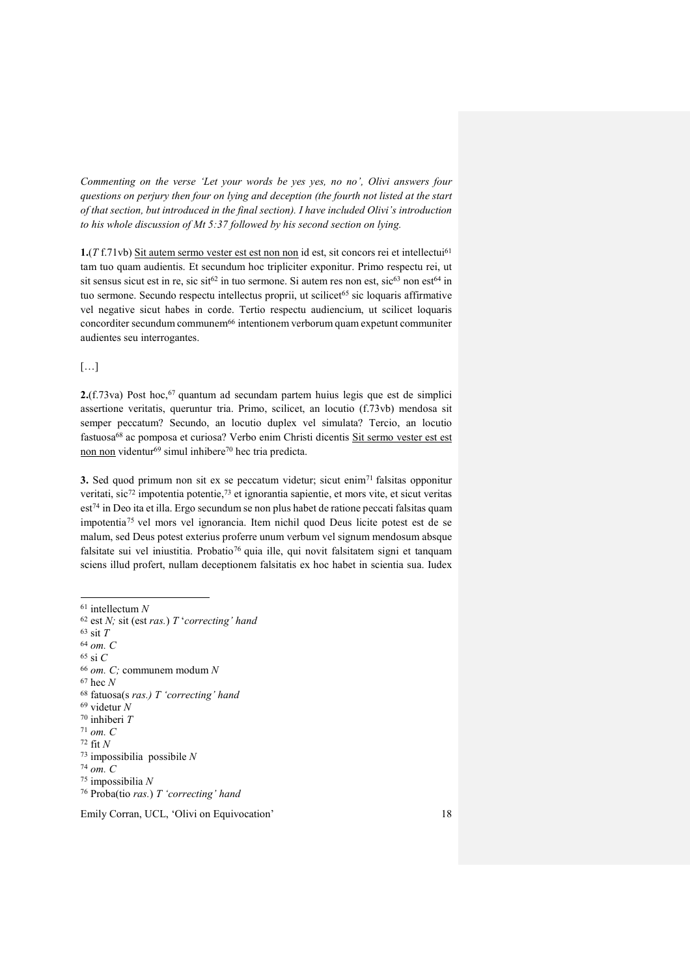*Commenting on the verse 'Let your words be yes yes, no no', Olivi answers four questions on perjury then four on lying and deception (the fourth not listed at the start of that section, but introduced in the final section). I have included Olivi's introduction to his whole discussion of Mt 5:37 followed by his second section on lying.*

**1.**(*T* f.71vb) Sit autem sermo vester est est non non id est, sit concors rei et intellectui<sup>61</sup> tam tuo quam audientis. Et secundum hoc tripliciter exponitur. Primo respectu rei, ut sit sensus sicut est in re, sic sit<sup>62</sup> in tuo sermone. Si autem res non est, sic<sup>63</sup> non est<sup>64</sup> in tuo sermone. Secundo respectu intellectus proprii, ut scilicet<sup>65</sup> sic loquaris affirmative vel negative sicut habes in corde. Tertio respectu audiencium, ut scilicet loquaris concorditer secundum communem<sup>66</sup> intentionem verborum quam expetunt communiter audientes seu interrogantes.

[…]

**2.**(f.73va) Post hoc,<sup>67</sup> quantum ad secundam partem huius legis que est de simplici assertione veritatis, queruntur tria. Primo, scilicet, an locutio (f.73vb) mendosa sit semper peccatum? Secundo, an locutio duplex vel simulata? Tercio, an locutio fastuosa<sup>68</sup> ac pomposa et curiosa? Verbo enim Christi dicentis Sit sermo vester est est non non videntur<sup>69</sup> simul inhibere<sup>70</sup> hec tria predicta.

**3.** Sed quod primum non sit ex se peccatum videtur; sicut enim<sup>71</sup> falsitas opponitur veritati, sic<sup>72</sup> impotentia potentie,<sup>73</sup> et ignorantia sapientie, et mors vite, et sicut veritas est<sup>74</sup> in Deo ita et illa. Ergo secundum se non plus habet de ratione peccati falsitas quam impotentia <sup>75</sup> vel mors vel ignorancia. Item nichil quod Deus licite potest est de se malum, sed Deus potest exterius proferre unum verbum vel signum mendosum absque falsitate sui vel iniustitia. Probatio<sup>76</sup> quia ille, qui novit falsitatem signi et tanquam sciens illud profert, nullam deceptionem falsitatis ex hoc habet in scientia sua. Iudex

 $\overline{a}$ 

<sup>61</sup> intellectum *N*

<sup>62</sup> est *N;* sit (est *ras.*) *T* '*correcting' hand* <sup>63</sup> sit *T* <sup>64</sup> *om. C* <sup>65</sup> si *C* <sup>66</sup> *om. C;* communem modum *N* <sup>67</sup> hec *N* <sup>68</sup> fatuosa(s *ras.) T 'correcting' hand* <sup>69</sup> videtur *N* <sup>70</sup> inhiberi *T* <sup>71</sup> *om. C* <sup>72</sup> fit *N* <sup>73</sup> impossibilia possibile *N* <sup>74</sup> *om. C* <sup>75</sup> impossibilia *N* <sup>76</sup> Proba(tio *ras.*) *T 'correcting' hand*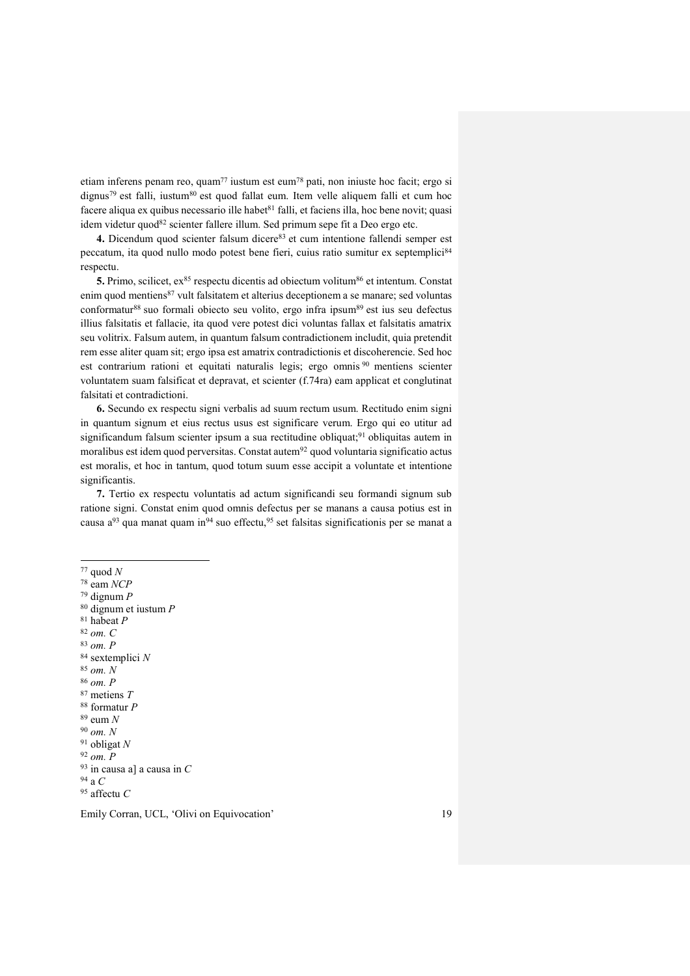etiam inferens penam reo, quam<sup>77</sup> iustum est eum<sup>78</sup> pati, non iniuste hoc facit; ergo si dignus<sup>79</sup> est falli, iustum<sup>80</sup> est quod fallat eum. Item velle aliquem falli et cum hoc facere aliqua ex quibus necessario ille habet $81$  falli, et faciens illa, hoc bene novit; quasi idem videtur quod $82$  scienter fallere illum. Sed primum sepe fit a Deo ergo etc.

4. Dicendum quod scienter falsum dicere<sup>83</sup> et cum intentione fallendi semper est peccatum, ita quod nullo modo potest bene fieri, cuius ratio sumitur ex septemplici<sup>84</sup> respectu.

5. Primo, scilicet, ex<sup>85</sup> respectu dicentis ad obiectum volitum<sup>86</sup> et intentum. Constat enim quod mentiens<sup>87</sup> vult falsitatem et alterius deceptionem a se manare; sed voluntas conformatur<sup>88</sup> suo formali obiecto seu volito, ergo infra ipsum<sup>89</sup> est ius seu defectus illius falsitatis et fallacie, ita quod vere potest dici voluntas fallax et falsitatis amatrix seu volitrix. Falsum autem, in quantum falsum contradictionem includit, quia pretendit rem esse aliter quam sit; ergo ipsa est amatrix contradictionis et discoherencie. Sed hoc est contrarium rationi et equitati naturalis legis; ergo omnis <sup>90</sup> mentiens scienter voluntatem suam falsificat et depravat, et scienter (f.74ra) eam applicat et conglutinat falsitati et contradictioni.

**6.** Secundo ex respectu signi verbalis ad suum rectum usum. Rectitudo enim signi in quantum signum et eius rectus usus est significare verum. Ergo qui eo utitur ad significandum falsum scienter ipsum a sua rectitudine obliquat; <sup>91</sup> obliquitas autem in moralibus est idem quod perversitas. Constat autem<sup>92</sup> quod voluntaria significatio actus est moralis, et hoc in tantum, quod totum suum esse accipit a voluntate et intentione significantis.

**7.** Tertio ex respectu voluntatis ad actum significandi seu formandi signum sub ratione signi. Constat enim quod omnis defectus per se manans a causa potius est in causa  $a^{93}$  qua manat quam in<sup>94</sup> suo effectu,<sup>95</sup> set falsitas significationis per se manat a

<sup>82</sup> *om. C*

<sup>83</sup> *om. P*

<sup>84</sup> sextemplici *N*  <sup>85</sup> *om. N*  <sup>86</sup> *om. P*

<sup>87</sup> metiens *T*

<sup>88</sup> formatur *P*

<sup>89</sup> eum *N*

<sup>90</sup> *om. N*

<sup>91</sup> obligat *N*

<sup>92</sup> *om. P*

<sup>93</sup> in causa a] a causa in *C*

<sup>94</sup> a *C* <sup>95</sup> affectu *C*

 $\overline{a}$ <sup>77</sup> quod *N*

<sup>78</sup> eam *NCP*

<sup>79</sup> dignum *P*

<sup>80</sup> dignum et iustum *P*

<sup>81</sup> habeat *P*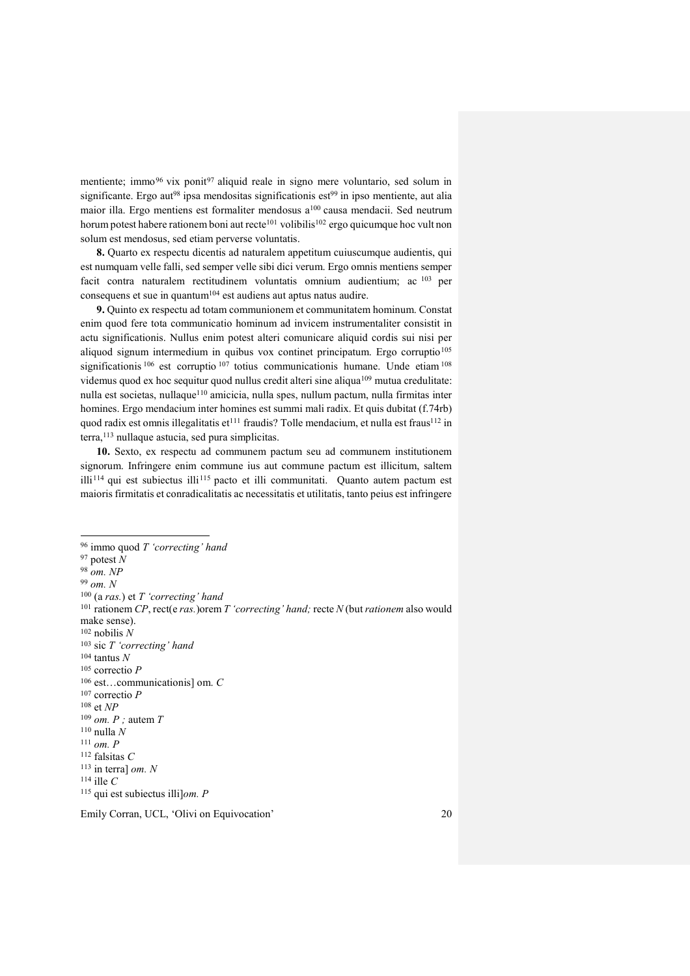mentiente; immo<sup>96</sup> vix ponit<sup>97</sup> aliquid reale in signo mere voluntario, sed solum in significante. Ergo aut<sup>98</sup> ipsa mendositas significationis est<sup>99</sup> in ipso mentiente, aut alia maior illa. Ergo mentiens est formaliter mendosus a<sup>100</sup> causa mendacii. Sed neutrum horum potest habere rationem boni aut recte<sup>101</sup> volibilis<sup>102</sup> ergo quicumque hoc vult non solum est mendosus, sed etiam perverse voluntatis.

**8.** Quarto ex respectu dicentis ad naturalem appetitum cuiuscumque audientis, qui est numquam velle falli, sed semper velle sibi dici verum. Ergo omnis mentiens semper facit contra naturalem rectitudinem voluntatis omnium audientium; ac <sup>103</sup> per consequens et sue in quantum<sup>104</sup> est audiens aut aptus natus audire.

**9.** Quinto ex respectu ad totam communionem et communitatem hominum. Constat enim quod fere tota communicatio hominum ad invicem instrumentaliter consistit in actu significationis. Nullus enim potest alteri comunicare aliquid cordis sui nisi per aliquod signum intermedium in quibus vox continet principatum. Ergo corruptio<sup>105</sup> significationis <sup>106</sup> est corruptio <sup>107</sup> totius communicationis humane. Unde etiam <sup>108</sup> videmus quod ex hoc sequitur quod nullus credit alteri sine aliqua<sup>109</sup> mutua credulitate: nulla est societas, nullaque<sup>110</sup> amicicia, nulla spes, nullum pactum, nulla firmitas inter homines. Ergo mendacium inter homines est summi mali radix. Et quis dubitat (f.74rb) quod radix est omnis illegalitatis et<sup>111</sup> fraudis? Tolle mendacium, et nulla est fraus<sup>112</sup> in terra,<sup>113</sup> nullaque astucia, sed pura simplicitas.

**10.** Sexto, ex respectu ad communem pactum seu ad communem institutionem signorum. Infringere enim commune ius aut commune pactum est illicitum, saltem illi<sup>114</sup> qui est subiectus illi<sup>115</sup> pacto et illi communitati. Quanto autem pactum est maioris firmitatis et conradicalitatis ac necessitatis et utilitatis, tanto peius est infringere

 $\overline{a}$ <sup>96</sup> immo quod *T 'correcting' hand*  $97$  potest  $\hat{N}$ <sup>98</sup> *om. NP* <sup>99</sup> *om. N* <sup>100</sup> (a *ras.*) et *T 'correcting' hand* <sup>101</sup> rationem *CP*, rect(e *ras.*)orem *T 'correcting' hand;* recte *N* (but *rationem* also would make sense). <sup>102</sup> nobilis *N* <sup>103</sup> sic *T 'correcting' hand* <sup>104</sup> tantus *N* <sup>105</sup> correctio *P* <sup>106</sup> est…communicationis] om. *C* <sup>107</sup> correctio *P* <sup>108</sup> et *NP* <sup>109</sup> *om. P ;* autem *T* <sup>110</sup> nulla *N* <sup>111</sup> *om. P* <sup>112</sup> falsitas *C* <sup>113</sup> in terra] *om. N* <sup>114</sup> ille *C* <sup>115</sup> qui est subiectus illi]*om. P*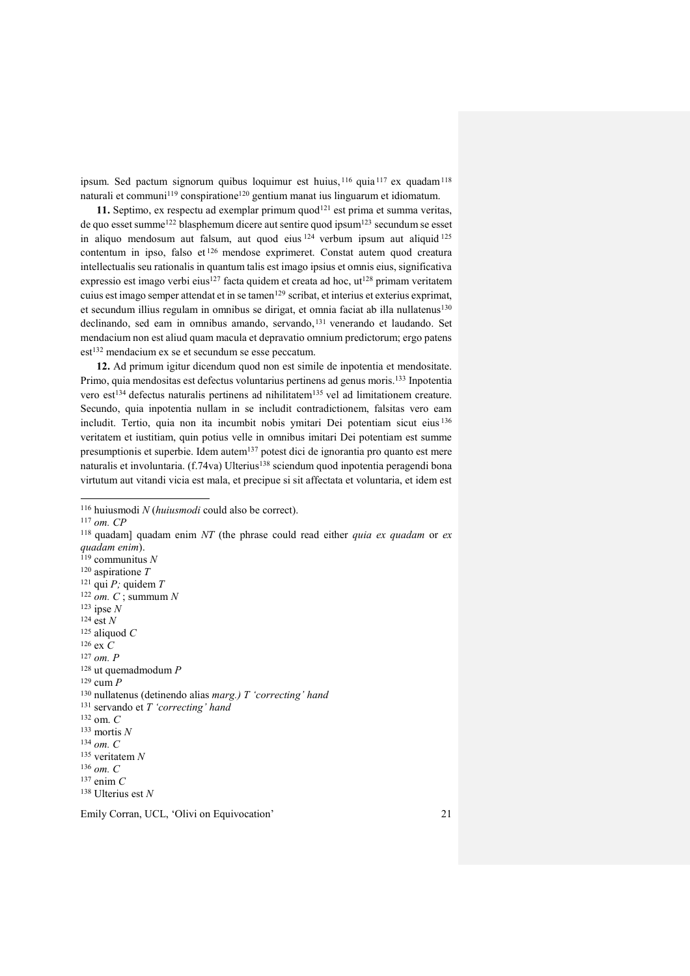ipsum. Sed pactum signorum quibus loquimur est huius, 116 quia 117 ex quadam 118 naturali et communi<sup>119</sup> conspiratione<sup>120</sup> gentium manat ius linguarum et idiomatum.

11. Septimo, ex respectu ad exemplar primum quod<sup>121</sup> est prima et summa veritas, de quo esset summe<sup>122</sup> blasphemum dicere aut sentire quod ipsum<sup>123</sup> secundum se esset in aliquo mendosum aut falsum, aut quod eius <sup>124</sup> verbum ipsum aut aliquid <sup>125</sup> contentum in ipso, falso et <sup>126</sup> mendose exprimeret. Constat autem quod creatura intellectualis seu rationalis in quantum talis est imago ipsius et omnis eius, significativa expressio est imago verbi eius<sup>127</sup> facta quidem et creata ad hoc, ut<sup>128</sup> primam veritatem cuius est imago semper attendat et in se tamen<sup>129</sup> scribat, et interius et exterius exprimat, et secundum illius regulam in omnibus se dirigat, et omnia faciat ab illa nullatenus<sup>130</sup> declinando, sed eam in omnibus amando, servando,<sup>131</sup> venerando et laudando. Set mendacium non est aliud quam macula et depravatio omnium predictorum; ergo patens est<sup>132</sup> mendacium ex se et secundum se esse peccatum.

**12.** Ad primum igitur dicendum quod non est simile de inpotentia et mendositate. Primo, quia mendositas est defectus voluntarius pertinens ad genus moris. <sup>133</sup> Inpotentia vero est<sup>134</sup> defectus naturalis pertinens ad nihilitatem<sup>135</sup> vel ad limitationem creature. Secundo, quia inpotentia nullam in se includit contradictionem, falsitas vero eam includit. Tertio, quia non ita incumbit nobis ymitari Dei potentiam sicut eius <sup>136</sup> veritatem et iustitiam, quin potius velle in omnibus imitari Dei potentiam est summe presumptionis et superbie. Idem autem<sup>137</sup> potest dici de ignorantia pro quanto est mere naturalis et involuntaria. (f.74va) Ulterius<sup>138</sup> sciendum quod inpotentia peragendi bona virtutum aut vitandi vicia est mala, et precipue si sit affectata et voluntaria, et idem est

 $\overline{a}$ 

<sup>116</sup> huiusmodi *N* (*huiusmodi* could also be correct).

<sup>117</sup> *om. CP*

Emily Corran, UCL, 'Olivi on Equivocation' 21 <sup>118</sup> quadam] quadam enim *NT* (the phrase could read either *quia ex quadam* or *ex quadam enim*). <sup>119</sup> communitus *N*  <sup>120</sup> aspiratione *T* <sup>121</sup> qui *P;* quidem *T* <sup>122</sup> *om. C* ; summum *N* <sup>123</sup> ipse *N* <sup>124</sup> est *N* <sup>125</sup> aliquod *C* <sup>126</sup> ex *C* <sup>127</sup> *om. P* <sup>128</sup> ut quemadmodum *P* <sup>129</sup> cum *P* <sup>130</sup> nullatenus (detinendo alias *marg.) T 'correcting' hand* <sup>131</sup> servando et *T 'correcting' hand* <sup>132</sup> om. *C* <sup>133</sup> mortis *N* <sup>134</sup> *om. C* <sup>135</sup> veritatem *N* <sup>136</sup> *om. C* <sup>137</sup> enim *C* <sup>138</sup> Ulterius est *N*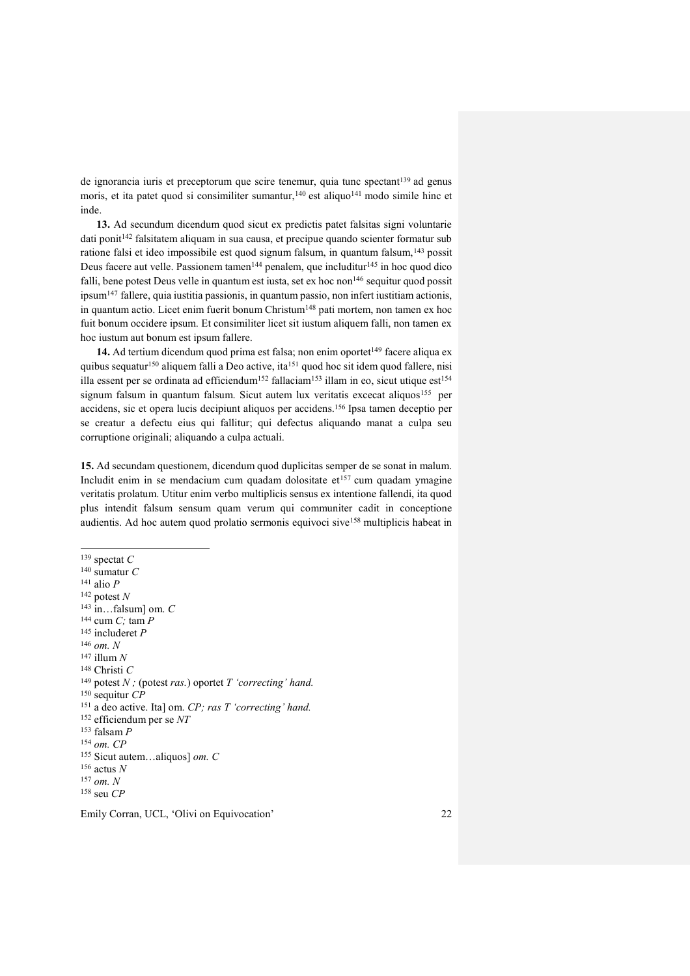de ignorancia iuris et preceptorum que scire tenemur, quia tunc spectant<sup>139</sup> ad genus moris, et ita patet quod si consimiliter sumantur,<sup>140</sup> est aliquo<sup>141</sup> modo simile hinc et inde.

**13.** Ad secundum dicendum quod sicut ex predictis patet falsitas signi voluntarie dati ponit<sup>142</sup> falsitatem aliquam in sua causa, et precipue quando scienter formatur sub ratione falsi et ideo impossibile est quod signum falsum, in quantum falsum,<sup>143</sup> possit Deus facere aut velle. Passionem tamen<sup>144</sup> penalem, que includitur<sup>145</sup> in hoc quod dico falli, bene potest Deus velle in quantum est iusta, set ex hoc non<sup>146</sup> sequitur quod possit ipsum<sup>147</sup> fallere, quia iustitia passionis, in quantum passio, non infert iustitiam actionis, in quantum actio. Licet enim fuerit bonum Christum<sup>148</sup> pati mortem, non tamen ex hoc fuit bonum occidere ipsum. Et consimiliter licet sit iustum aliquem falli, non tamen ex hoc iustum aut bonum est ipsum fallere.

14. Ad tertium dicendum quod prima est falsa; non enim oportet<sup>149</sup> facere aliqua ex quibus sequatur<sup>150</sup> aliquem falli a Deo active, ita<sup>151</sup> quod hoc sit idem quod fallere, nisi illa essent per se ordinata ad efficiendum<sup>152</sup> fallaciam<sup>153</sup> illam in eo, sicut utique est<sup>154</sup> signum falsum in quantum falsum. Sicut autem lux veritatis excecat aliquos<sup>155</sup> per accidens, sic et opera lucis decipiunt aliquos per accidens.<sup>156</sup> Ipsa tamen deceptio per se creatur a defectu eius qui fallitur; qui defectus aliquando manat a culpa seu corruptione originali; aliquando a culpa actuali.

**15.** Ad secundam questionem, dicendum quod duplicitas semper de se sonat in malum. Includit enim in se mendacium cum quadam dolositate  $et^{157}$  cum quadam ymagine veritatis prolatum. Utitur enim verbo multiplicis sensus ex intentione fallendi, ita quod plus intendit falsum sensum quam verum qui communiter cadit in conceptione audientis. Ad hoc autem quod prolatio sermonis equivoci sive<sup>158</sup> multiplicis habeat in

j <sup>139</sup> spectat *C*

<sup>140</sup> sumatur *C* <sup>141</sup> alio *P*

<sup>142</sup> potest *N*

<sup>143</sup> in…falsum] om. *C*

<sup>144</sup> cum *C;* tam *P*

<sup>145</sup> includeret *P*

<sup>146</sup> *om. N*

- <sup>147</sup> illum *N*
- <sup>148</sup> Christi *C*
- <sup>149</sup> potest *N*; (potest *ras.*) oportet *T* 'correcting' hand.
- <sup>150</sup> sequitur *CP*
- <sup>151</sup> a deo active. Ita] om. *CP; ras T 'correcting' hand.*
- <sup>152</sup> efficiendum per se *NT*
- <sup>153</sup> falsam *P*
- <sup>154</sup> *om. CP*
- <sup>155</sup> Sicut autem…aliquos] *om. C*  <sup>156</sup> actus *N*
- <sup>157</sup> *om. N*

<sup>158</sup> seu *CP*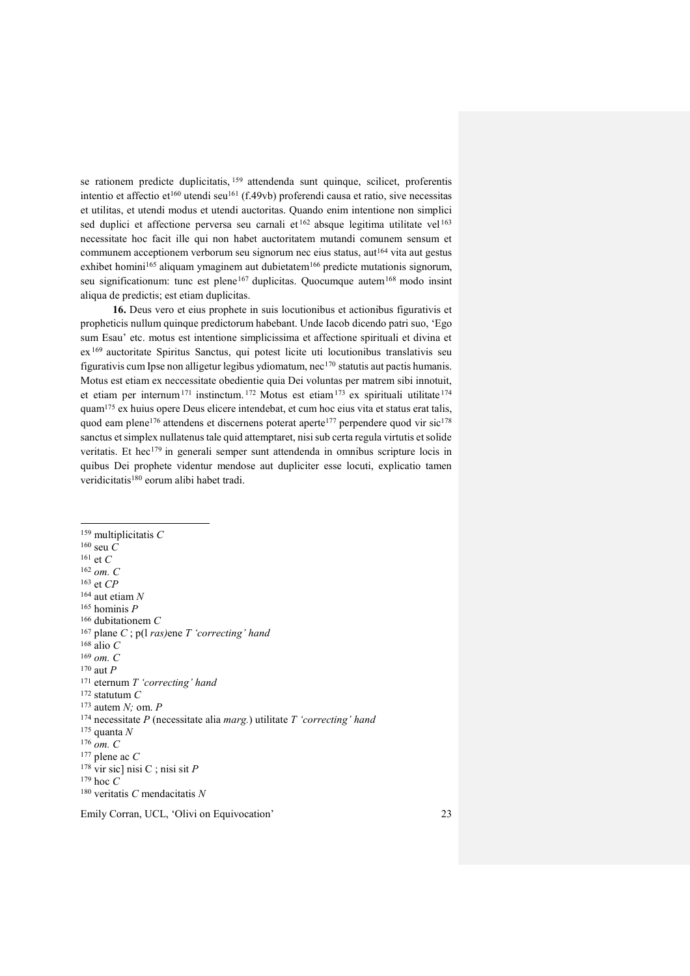se rationem predicte duplicitatis, <sup>159</sup> attendenda sunt quinque, scilicet, proferentis intentio et affectio et<sup>160</sup> utendi seu<sup>161</sup> (f.49vb) proferendi causa et ratio, sive necessitas et utilitas, et utendi modus et utendi auctoritas. Quando enim intentione non simplici sed duplici et affectione perversa seu carnali et  $162$  absque legitima utilitate vel  $163$ necessitate hoc facit ille qui non habet auctoritatem mutandi comunem sensum et communem acceptionem verborum seu signorum nec eius status, aut<sup>164</sup> vita aut gestus exhibet homini<sup>165</sup> aliquam ymaginem aut dubietatem<sup>166</sup> predicte mutationis signorum, seu significationum: tunc est plene<sup>167</sup> duplicitas. Quocumque autem<sup>168</sup> modo insint aliqua de predictis; est etiam duplicitas.

**16.** Deus vero et eius prophete in suis locutionibus et actionibus figurativis et propheticis nullum quinque predictorum habebant. Unde Iacob dicendo patri suo, 'Ego sum Esau' etc. motus est intentione simplicissima et affectione spirituali et divina et ex<sup>169</sup> auctoritate Spiritus Sanctus, qui potest licite uti locutionibus translativis seu figurativis cum Ipse non alligetur legibus ydiomatum, nec<sup>170</sup> statutis aut pactis humanis. Motus est etiam ex neccessitate obedientie quia Dei voluntas per matrem sibi innotuit, et etiam per internum<sup>171</sup> instinctum. <sup>172</sup> Motus est etiam<sup>173</sup> ex spirituali utilitate <sup>174</sup> quam<sup>175</sup> ex huius opere Deus elicere intendebat, et cum hoc eius vita et status erat talis, quod eam plene<sup>176</sup> attendens et discernens poterat aperte<sup>177</sup> perpendere quod vir sic<sup>178</sup> sanctus et simplex nullatenus tale quid attemptaret, nisi sub certa regula virtutis et solide veritatis. Et hec<sup>179</sup> in generali semper sunt attendenda in omnibus scripture locis in quibus Dei prophete videntur mendose aut dupliciter esse locuti, explicatio tamen veridicitatis <sup>180</sup> eorum alibi habet tradi.

 $\overline{\phantom{0}}$ <sup>159</sup> multiplicitatis *C* <sup>160</sup> seu *C* <sup>161</sup> et *C* <sup>162</sup> *om. C* <sup>163</sup> et *CP* <sup>164</sup> aut etiam *N* <sup>165</sup> hominis *P* <sup>166</sup> dubitationem *C* <sup>167</sup> plane *C* ; p(l *ras)*ene *T 'correcting' hand*  <sup>168</sup> alio *C* <sup>169</sup> *om. C* <sup>170</sup> aut *P* <sup>171</sup> eternum *T 'correcting' hand* <sup>172</sup> statutum *C*  <sup>173</sup> autem *N;* om. *P* <sup>174</sup> necessitate *P* (necessitate alia *marg.*) utilitate *T 'correcting' hand* <sup>175</sup> quanta *N* <sup>176</sup> *om. C* <sup>177</sup> plene ac *C* <sup>178</sup> vir sic] nisi C ; nisi sit *P* <sup>179</sup> hoc *C* <sup>180</sup> veritatis *C* mendacitatis *N*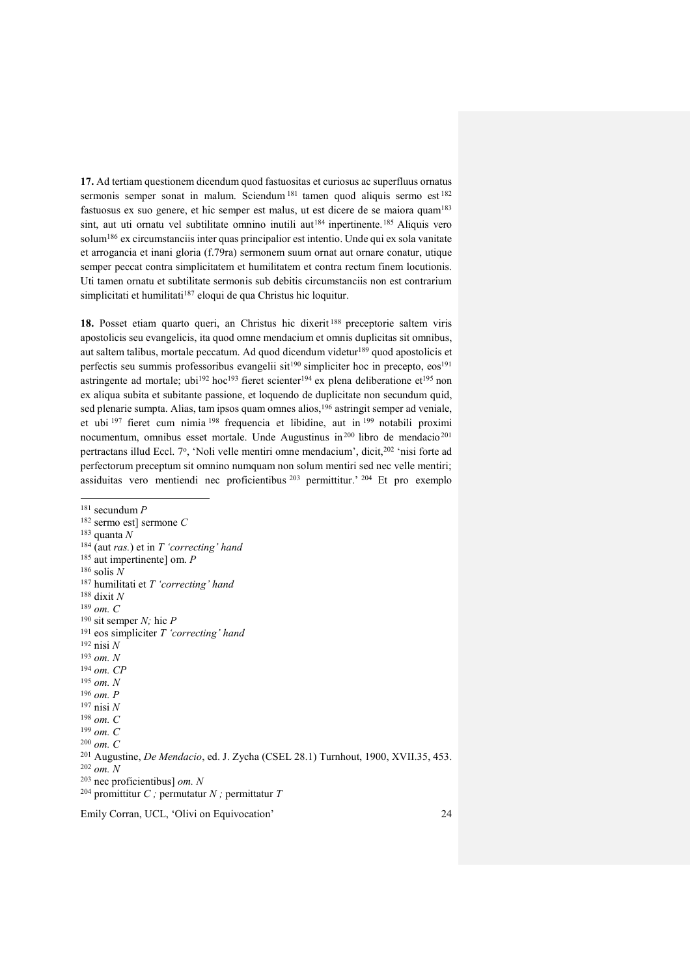**17.** Ad tertiam questionem dicendum quod fastuositas et curiosus ac superfluus ornatus sermonis semper sonat in malum. Sciendum 181 tamen quod aliquis sermo est 182 fastuosus ex suo genere, et hic semper est malus, ut est dicere de se maiora quam<sup>183</sup> sint, aut uti ornatu vel subtilitate omnino inutili aut<sup>184</sup> inpertinente.<sup>185</sup> Aliquis vero solum<sup>186</sup> ex circumstanciis inter quas principalior est intentio. Unde qui ex sola vanitate et arrogancia et inani gloria (f.79ra) sermonem suum ornat aut ornare conatur, utique semper peccat contra simplicitatem et humilitatem et contra rectum finem locutionis. Uti tamen ornatu et subtilitate sermonis sub debitis circumstanciis non est contrarium simplicitati et humilitati<sup>187</sup> eloqui de qua Christus hic loquitur.

**18.** Posset etiam quarto queri, an Christus hic dixerit <sup>188</sup> preceptorie saltem viris apostolicis seu evangelicis, ita quod omne mendacium et omnis duplicitas sit omnibus, aut saltem talibus, mortale peccatum. Ad quod dicendum videtur<sup>189</sup> quod apostolicis et perfectis seu summis professoribus evangelii sit<sup>190</sup> simpliciter hoc in precepto, eos<sup>191</sup> astringente ad mortale; ubi<sup>192</sup> hoc<sup>193</sup> fieret scienter<sup>194</sup> ex plena deliberatione et<sup>195</sup> non ex aliqua subita et subitante passione, et loquendo de duplicitate non secundum quid, sed plenarie sumpta. Alias, tam ipsos quam omnes alios,<sup>196</sup> astringit semper ad veniale, et ubi <sup>197</sup> fieret cum nimia <sup>198</sup> frequencia et libidine, aut in <sup>199</sup> notabili proximi nocumentum, omnibus esset mortale. Unde Augustinus in<sup>200</sup> libro de mendacio<sup>201</sup> pertractans illud Eccl. 7°, 'Noli velle mentiri omne mendacium', dicit,<sup>202</sup> 'nisi forte ad perfectorum preceptum sit omnino numquam non solum mentiri sed nec velle mentiri; assiduitas vero mentiendi nec proficientibus  $203$  permittitur.<sup>204</sup> Et pro exemplo

 $\overline{a}$ <sup>181</sup> secundum *P* <sup>182</sup> sermo est] sermone *C* <sup>183</sup> quanta *N* <sup>184</sup> (aut *ras.*) et in *T 'correcting' hand* <sup>185</sup> aut impertinente] om. *P* <sup>186</sup> solis *N* <sup>187</sup> humilitati et *T 'correcting' hand* <sup>188</sup> dixit *N* <sup>189</sup> *om. C* <sup>190</sup> sit semper *N;* hic *P*  <sup>191</sup> eos simpliciter *T 'correcting' hand* <sup>192</sup> nisi *N* <sup>193</sup> *om. N* <sup>194</sup> *om. CP* <sup>195</sup> *om. N* <sup>196</sup> *om. P* <sup>197</sup> nisi *N* <sup>198</sup> *om. C* <sup>199</sup> *om. C* <sup>200</sup> *om. C* <sup>201</sup> Augustine, *De Mendacio*, ed. J. Zycha (CSEL 28.1) Turnhout, 1900, XVII.35, 453. <sup>202</sup> *om. N* <sup>203</sup> nec proficientibus] *om. N* <sup>204</sup> promittitur *C ;* permutatur *N ;* permittatur *T*